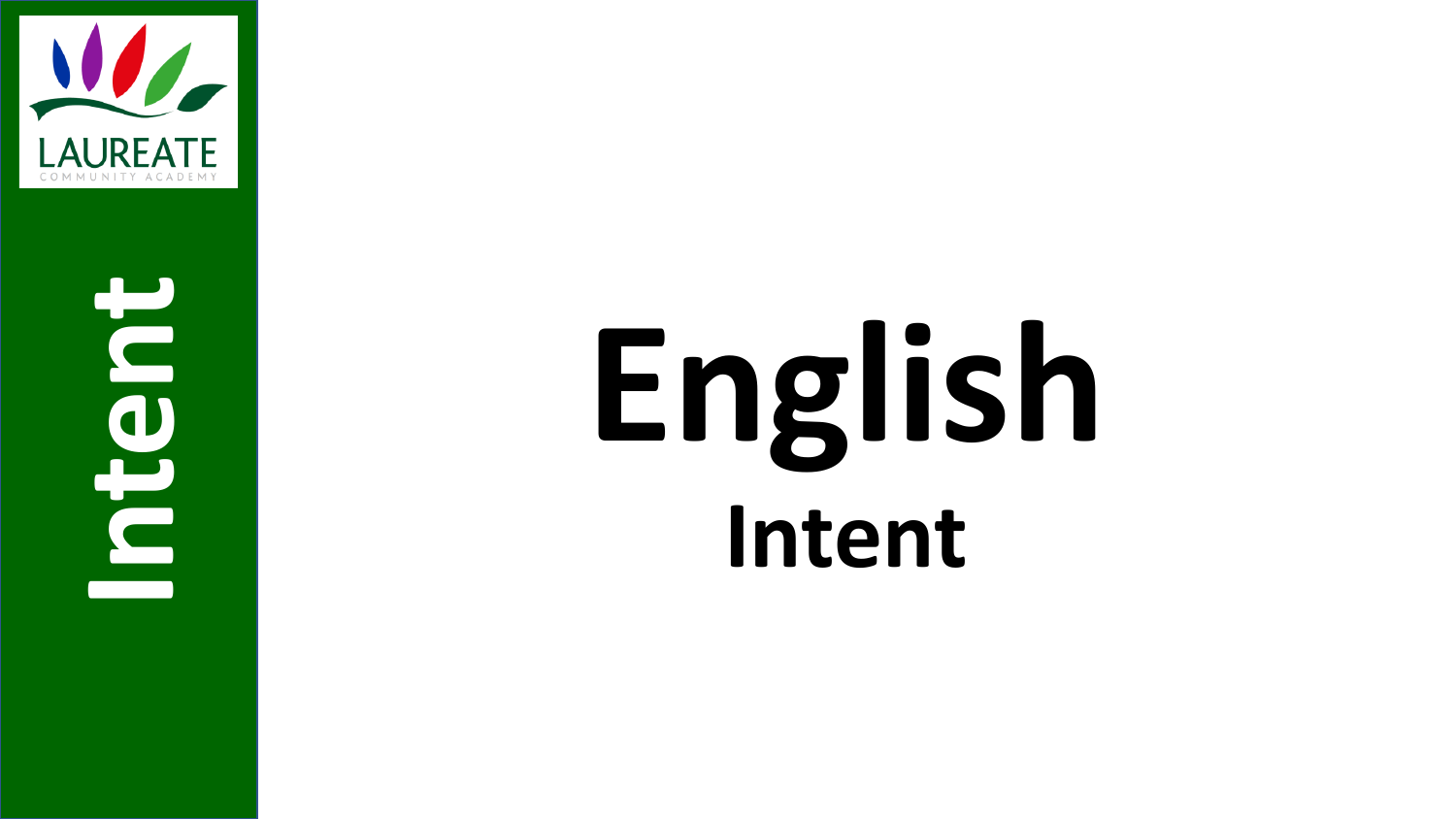

**Intent**

# **English Intent**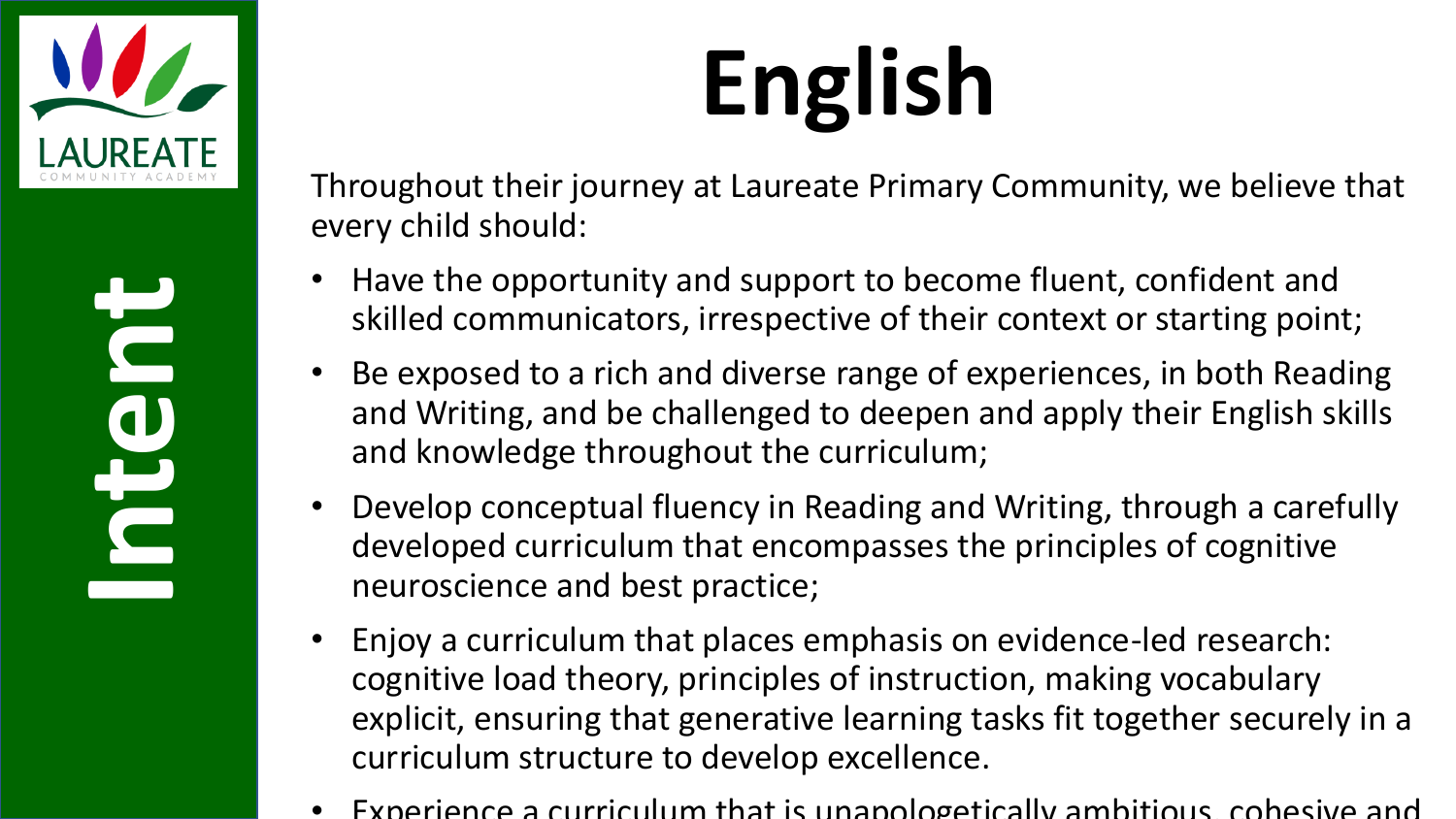

## **English**

Throughout their journey at Laureate Primary Community, we believe that every child should:

- Have the opportunity and support to become fluent, confident and skilled communicators, irrespective of their context or starting point;
- Be exposed to a rich and diverse range of experiences, in both Reading and Writing, and be challenged to deepen and apply their English skills and knowledge throughout the curriculum;
- Develop conceptual fluency in Reading and Writing, through a carefully developed curriculum that encompasses the principles of cognitive neuroscience and best practice;
- Enjoy a curriculum that places emphasis on evidence-led research: cognitive load theory, principles of instruction, making vocabulary explicit, ensuring that generative learning tasks fit together securely in a curriculum structure to develop excellence.
- Experience a curriculum that is unapologetically ambitious, cohesive and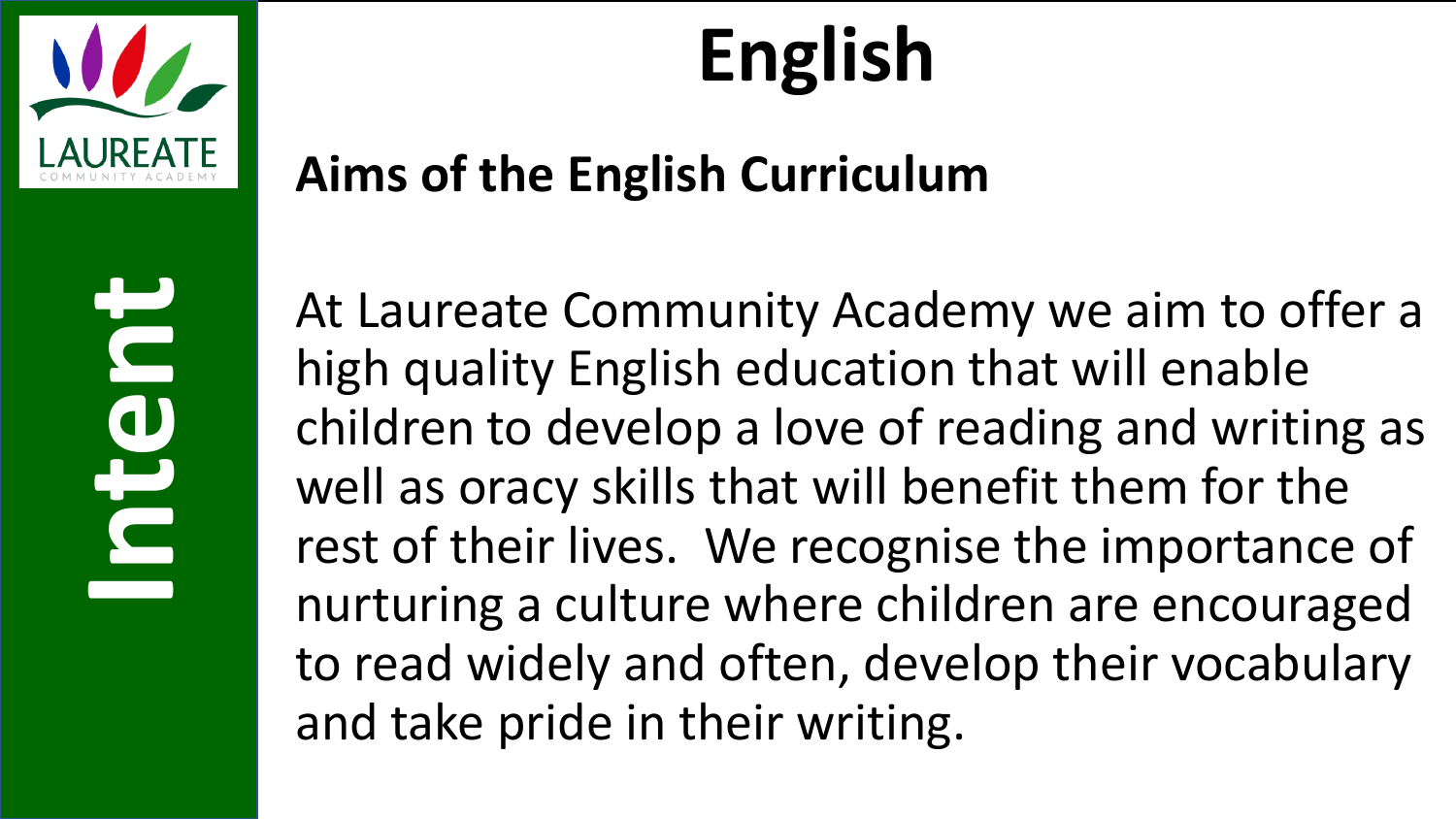

## **English**

#### **Aims of the English Curriculum**

At Laureate Community Academy we aim to offer a high quality English education that will enable children to develop a love of reading and writing as well as oracy skills that will benefit them for the rest of their lives. We recognise the importance of nurturing a culture where children are encouraged to read widely and often, develop their vocabulary and take pride in their writing.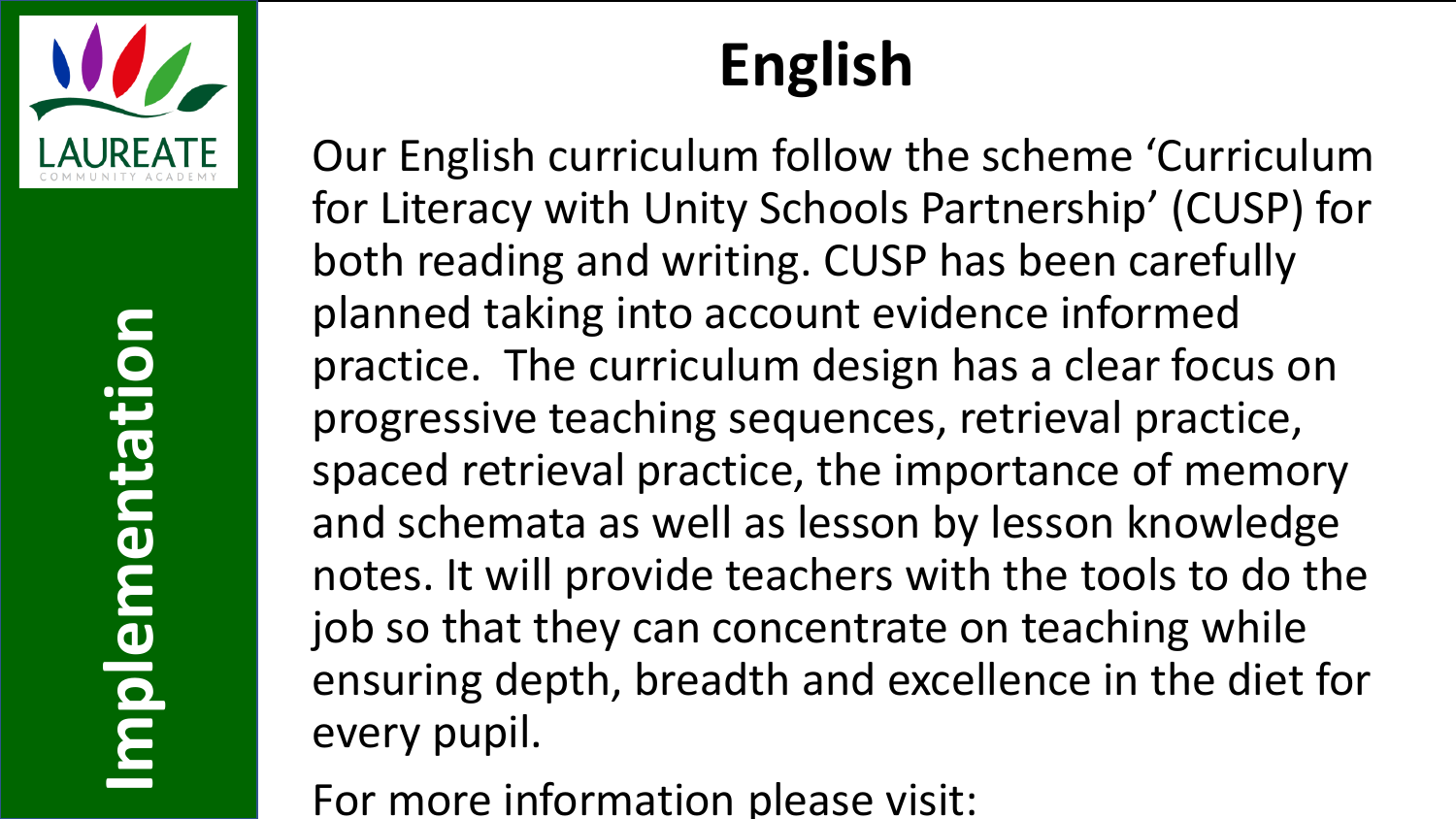

Implementation **Implementation**

#### **English**

Our English curriculum follow the scheme 'Curriculum for Literacy with Unity Schools Partnership' (CUSP) for both reading and writing. CUSP has been carefully planned taking into account evidence informed practice. The curriculum design has a clear focus on progressive teaching sequences, retrieval practice, spaced retrieval practice, the importance of memory and schemata as well as lesson by lesson knowledge notes. It will provide teachers with the tools to do the job so that they can concentrate on teaching while ensuring depth, breadth and excellence in the diet for every pupil.

For more information please visit: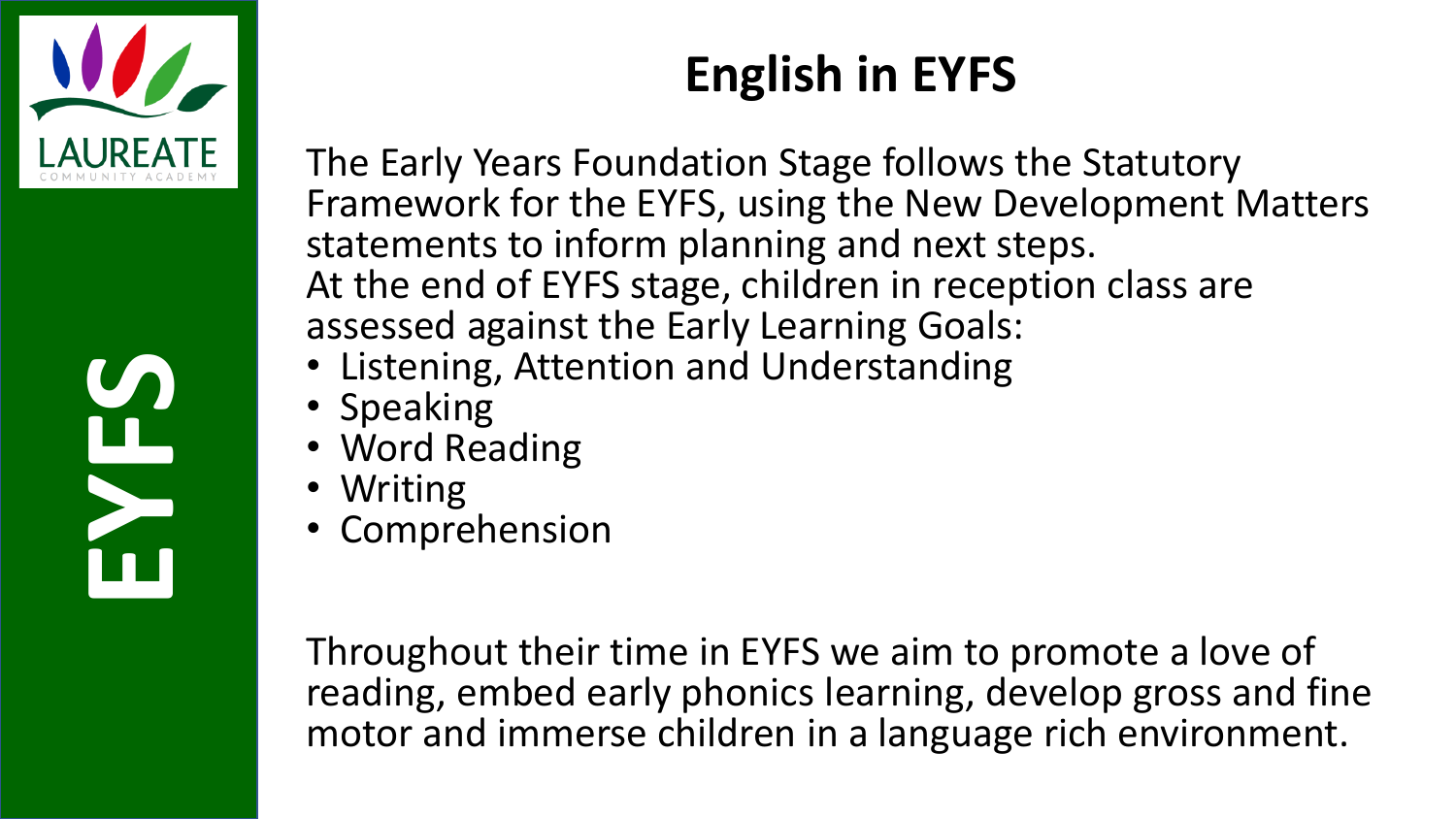

# **SEP**

#### **English in EYFS**

The Early Years Foundation Stage follows the Statutory Framework for the EYFS, using the New Development Matters statements to inform planning and next steps. At the end of EYFS stage, children in reception class are assessed against the Early Learning Goals:

- Listening, Attention and Understanding
- Speaking
- Word Reading
- Writing
- Comprehension

Throughout their time in EYFS we aim to promote a love of reading, embed early phonics learning, develop gross and fine motor and immerse children in a language rich environment.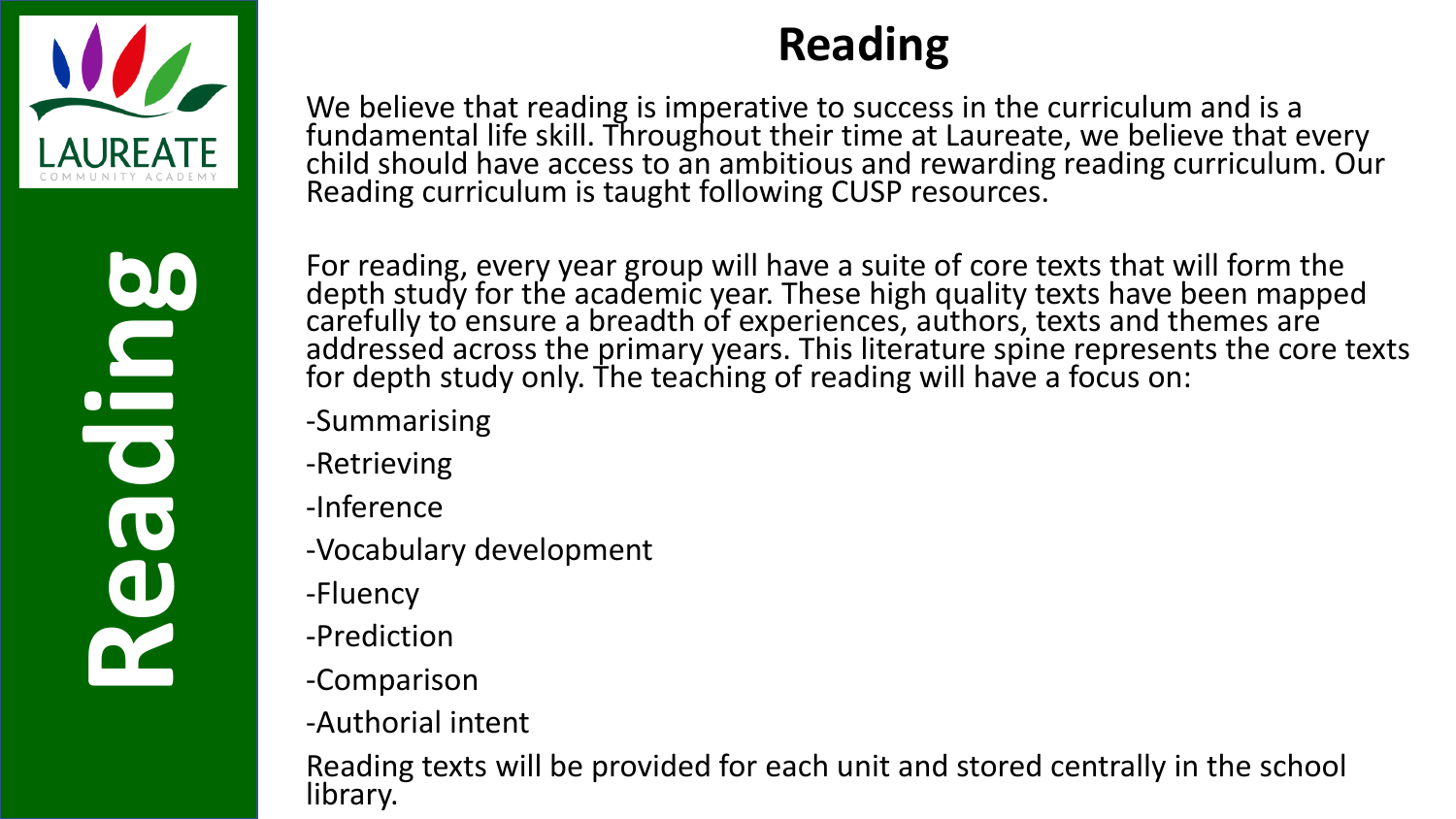

We believe that reading is imperative to success in the curriculum and is a fundamental life skill. Throughout their time at Laureate, we believe that every child should have access to an ambitious and rewarding reading curriculum. Our Reading curriculum is taught following CUSP resources.

For reading, every year group will have a suite of core texts that will form the depth study for the academic year. These high quality texts have been mapped carefully to ensure a breadth of experiences, authors, texts and themes are addressed across the primary years. This literature spine represents the core texts for depth study only. The teaching of reading will have a focus on:

- -Summarising
- -Retrieving
- -Inference
- -Vocabulary development
- -Fluency
- -Prediction
- -Comparison
- -Authorial intent

Reading texts will be provided for each unit and stored centrally in the school library.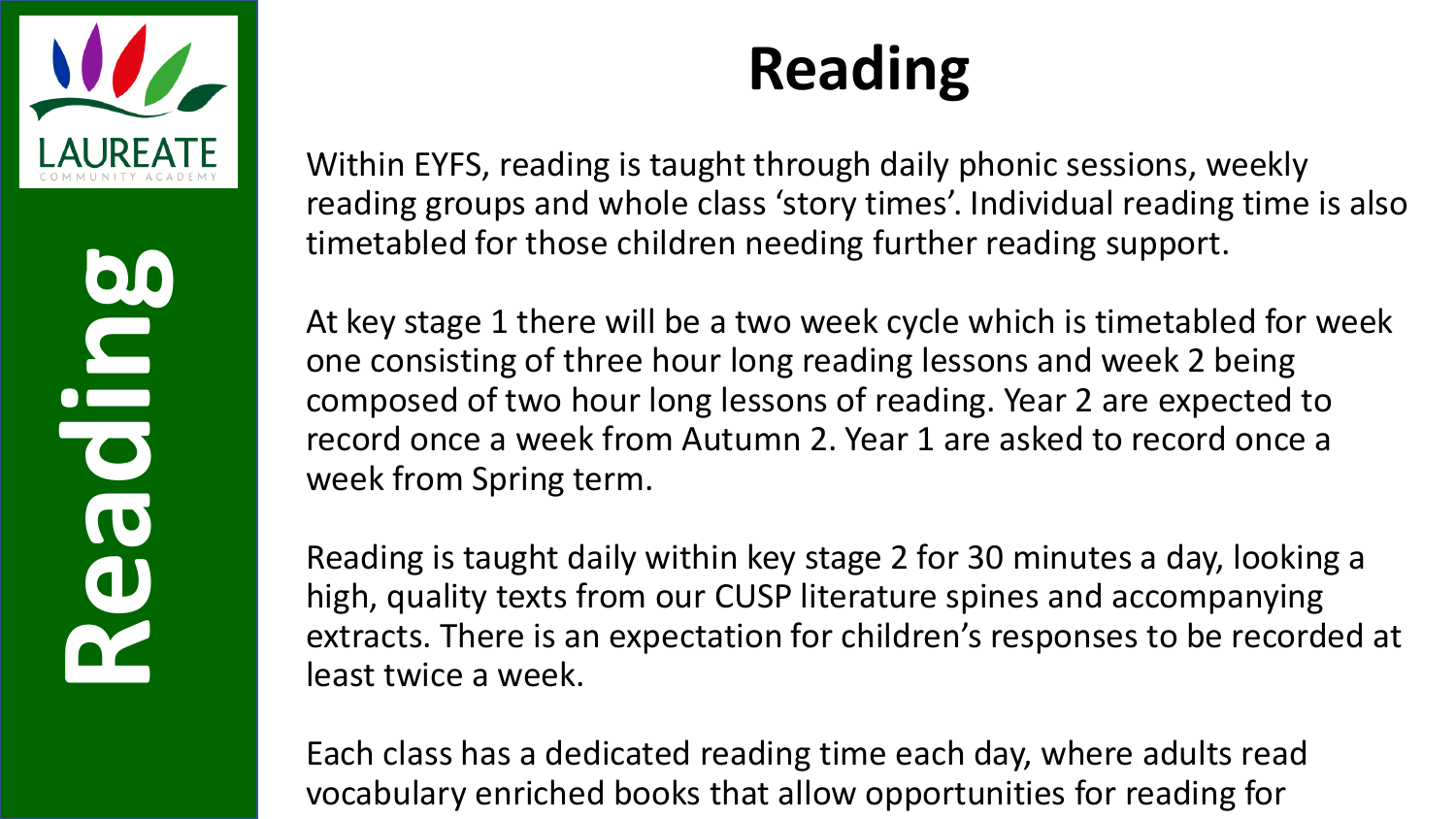

#### **Reading**

Within EYFS, reading is taught through daily phonic sessions, weekly reading groups and whole class 'story times'. Individual reading time is also timetabled for those children needing further reading support.

At key stage 1 there will be a two week cycle which is timetabled for week one consisting of three hour long reading lessons and week 2 being composed of two hour long lessons of reading. Year 2 are expected to record once a week from Autumn 2. Year 1 are asked to record once a week from Spring term.

Reading is taught daily within key stage 2 for 30 minutes a day, looking a high, quality texts from our CUSP literature spines and accompanying extracts. There is an expectation for children's responses to be recorded at least twice a week.

Each class has a dedicated reading time each day, where adults read vocabulary enriched books that allow opportunities for reading for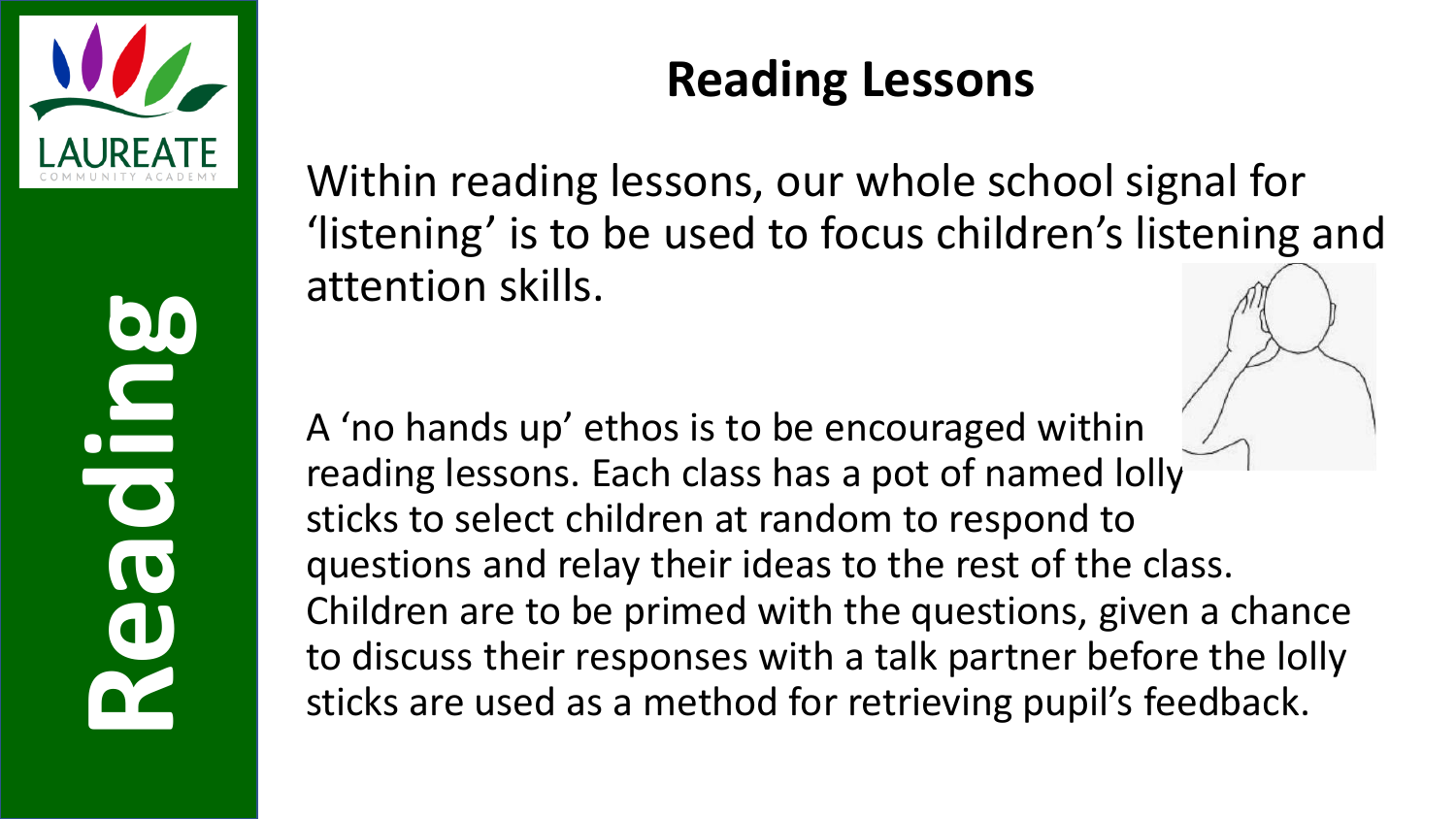

#### **Reading Lessons**

Within reading lessons, our whole school signal for 'listening' is to be used to focus children's listening and attention skills.

A 'no hands up' ethos is to be encouraged within reading lessons. Each class has a pot of named lolly sticks to select children at random to respond to questions and relay their ideas to the rest of the class. Children are to be primed with the questions, given a chance to discuss their responses with a talk partner before the lolly sticks are used as a method for retrieving pupil's feedback.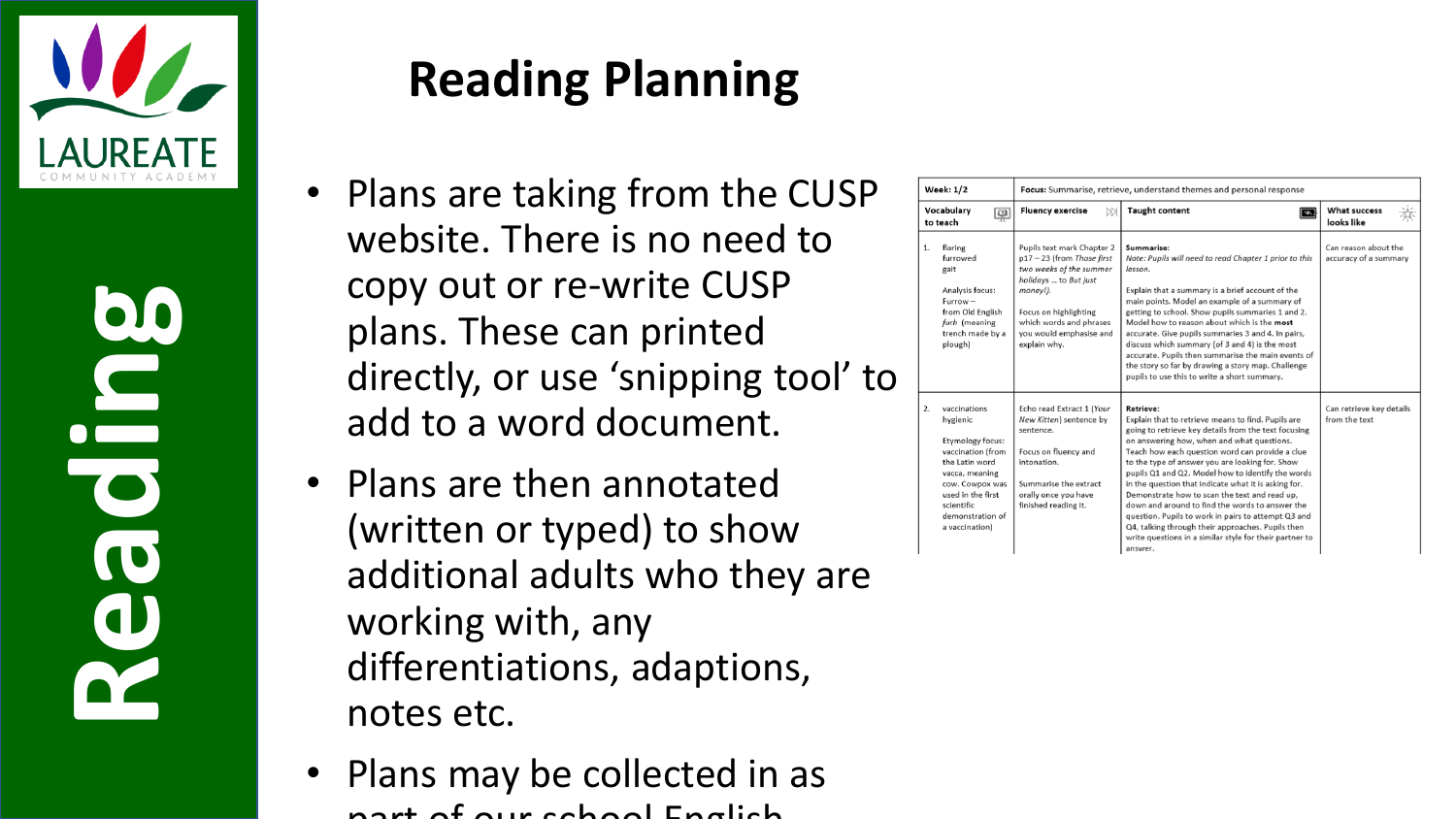

#### **Reading Planning**

- Plans are taking from the CUSP website. There is no need to copy out or re-write CUSP plans. These can printed directly, or use 'snipping tool' to add to a word document.
- Plans are then annotated (written or typed) to show additional adults who they are working with, any differentiations, adaptions, notes etc.
- Plans may be collected in as part of our school English

| <b>Week: 1/2</b><br>Vocabulary<br>粵<br>to teach                                                |                                                                                                                     | Focus: Summarise, retrieve, understand themes and personal response                                                                                                                                                   |                                                                                                                                                                                                                                                                                                                                                                                                                                                                                                                                                                                                                                                                                       |                                               |  |
|------------------------------------------------------------------------------------------------|---------------------------------------------------------------------------------------------------------------------|-----------------------------------------------------------------------------------------------------------------------------------------------------------------------------------------------------------------------|---------------------------------------------------------------------------------------------------------------------------------------------------------------------------------------------------------------------------------------------------------------------------------------------------------------------------------------------------------------------------------------------------------------------------------------------------------------------------------------------------------------------------------------------------------------------------------------------------------------------------------------------------------------------------------------|-----------------------------------------------|--|
|                                                                                                |                                                                                                                     | <b>Fluency exercise</b><br><b>DD</b>                                                                                                                                                                                  | <b>Taught content</b><br>$\overline{\mathbb{Z}}$                                                                                                                                                                                                                                                                                                                                                                                                                                                                                                                                                                                                                                      | <b>What success</b><br>looks like             |  |
| 1.<br>flaring<br>furrowed<br>gait<br>Analysis focus:<br>$Furrow -$<br>furh (meaning<br>plough) | from Old English<br>trench made by a                                                                                | Pupils text mark Chapter 2<br>p17-23 (from Those first<br>two weeks of the summer<br>holidays  to But just<br>money!).<br>Focus on highlighting<br>which words and phrases<br>vou would emphasise and<br>explain why. | Summarise:<br>Note: Pupils will need to read Chapter 1 prior to this<br>lesson.<br>Explain that a summary is a brief account of the<br>main points. Model an example of a summary of<br>getting to school. Show pupils summaries 1 and 2.<br>Model how to reason about which is the most<br>accurate. Give pupils summaries 3 and 4. In pairs,<br>discuss which summary (of 3 and 4) is the most<br>accurate. Pupils then summarise the main events of<br>the story so far by drawing a story map. Challenge<br>pupils to use this to write a short summary.                                                                                                                          | Can reason about the<br>accuracy of a summary |  |
| 2.<br>vaccinations<br>hygienic<br>the Latin word<br>scientific<br>a vaccination)               | Etymology focus:<br>vaccination (from<br>vacca, meaning<br>cow. Cowpox was<br>used in the first<br>demonstration of | Echo read Extract 1 (Your<br>New Kitten) sentence by<br>sentence.<br>Focus on fluency and<br>intonation.<br>Summarise the extract<br>orally once you have<br>finished reading it.                                     | <b>Retrieve:</b><br>Explain that to retrieve means to find. Pupils are<br>going to retrieve key details from the text focusing<br>on answering how, when and what questions.<br>Teach how each question word can provide a clue<br>to the type of answer you are looking for. Show<br>pupils Q1 and Q2. Model how to identify the words<br>in the question that indicate what it is asking for.<br>Demonstrate how to scan the text and read up.<br>down and around to find the words to answer the<br>question. Pupils to work in pairs to attempt Q3 and<br>Q4, talking through their approaches. Pupils then<br>write questions in a similar style for their partner to<br>answer. | Can retrieve key details<br>from the text     |  |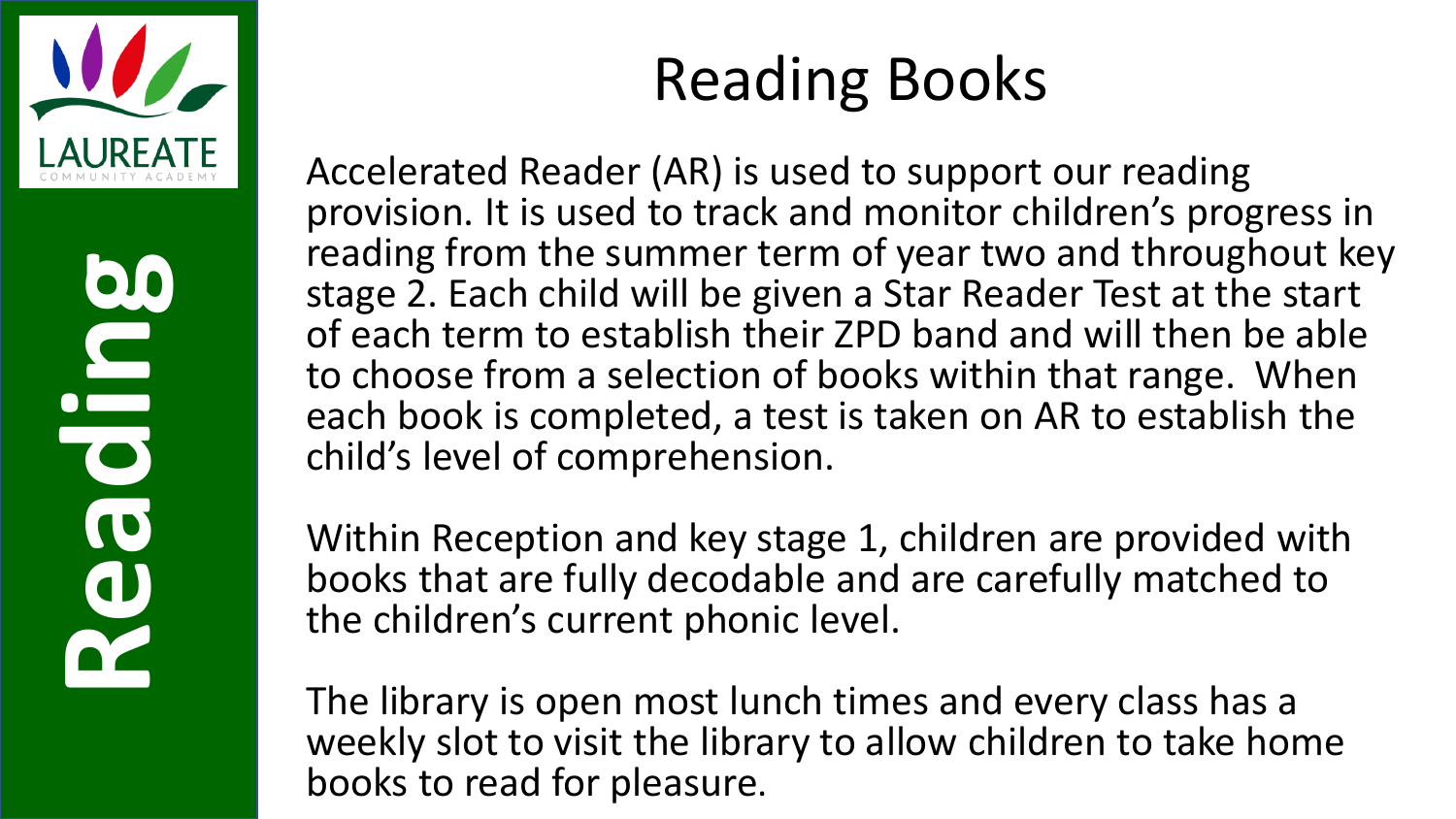

#### Reading Books

Accelerated Reader (AR) is used to support our reading provision. It is used to track and monitor children's progress in reading from the summer term of year two and throughout key stage 2. Each child will be given a Star Reader Test at the start of each term to establish their ZPD band and will then be able to choose from a selection of books within that range. When each book is completed, a test is taken on AR to establish the child's level of comprehension.

Within Reception and key stage 1, children are provided with books that are fully decodable and are carefully matched to the children's current phonic level.

The library is open most lunch times and every class has a weekly slot to visit the library to allow children to take home books to read for pleasure.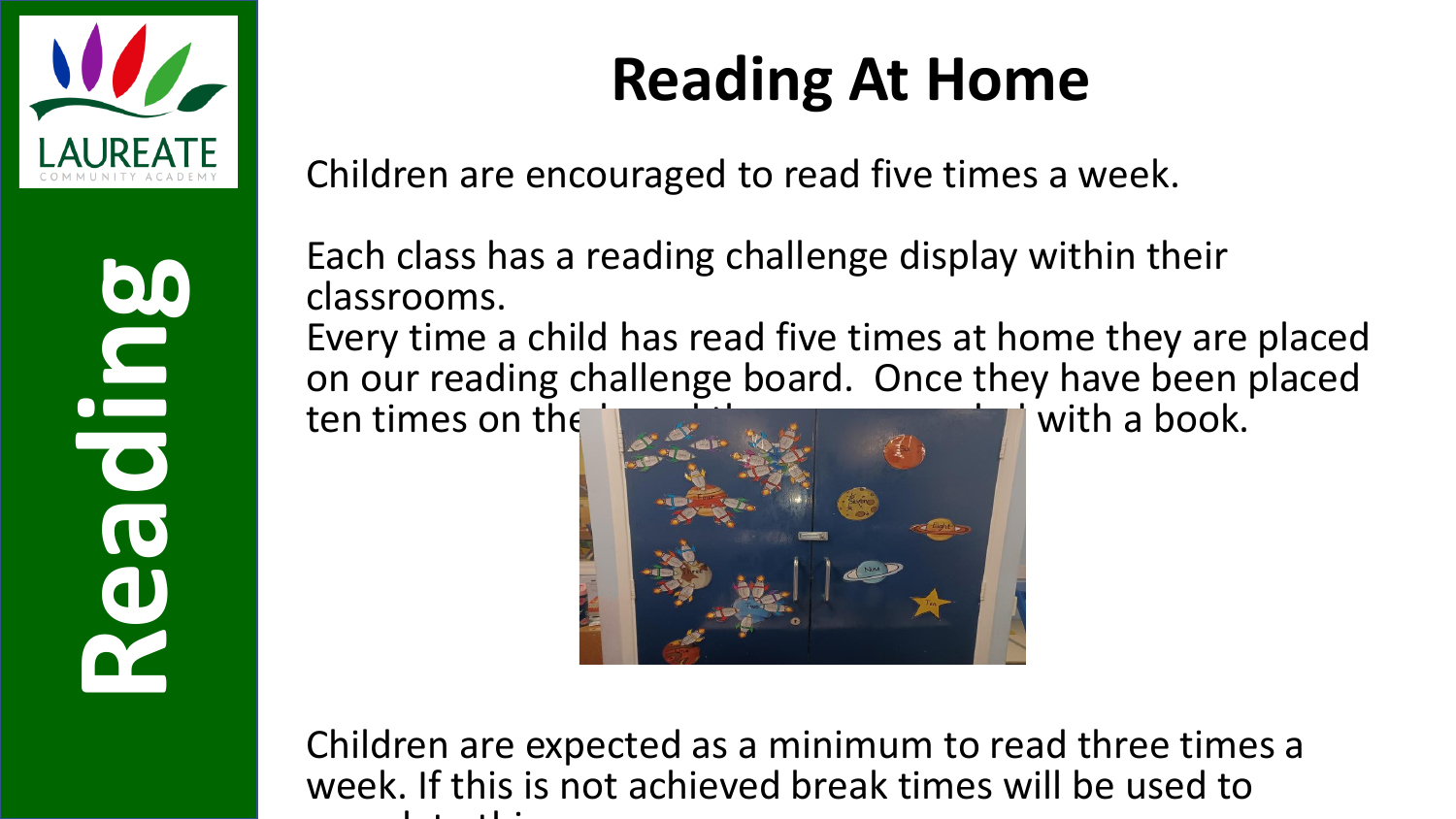

#### **Reading At Home**

Children are encouraged to read five times a week.

Each class has a reading challenge display within their classrooms.

Every time a child has read five times at home they are placed on our reading challenge board. Once they have been placed ten times on the latter state of the state of the with a book.

ten times on the



Children are expected as a minimum to read three times a week. If this is not achieved break times will be used to complete the complete this is a state of the complete the complete three complete that is a state of the complete three complete that is a state of the complete three complete three complete three complete three complete t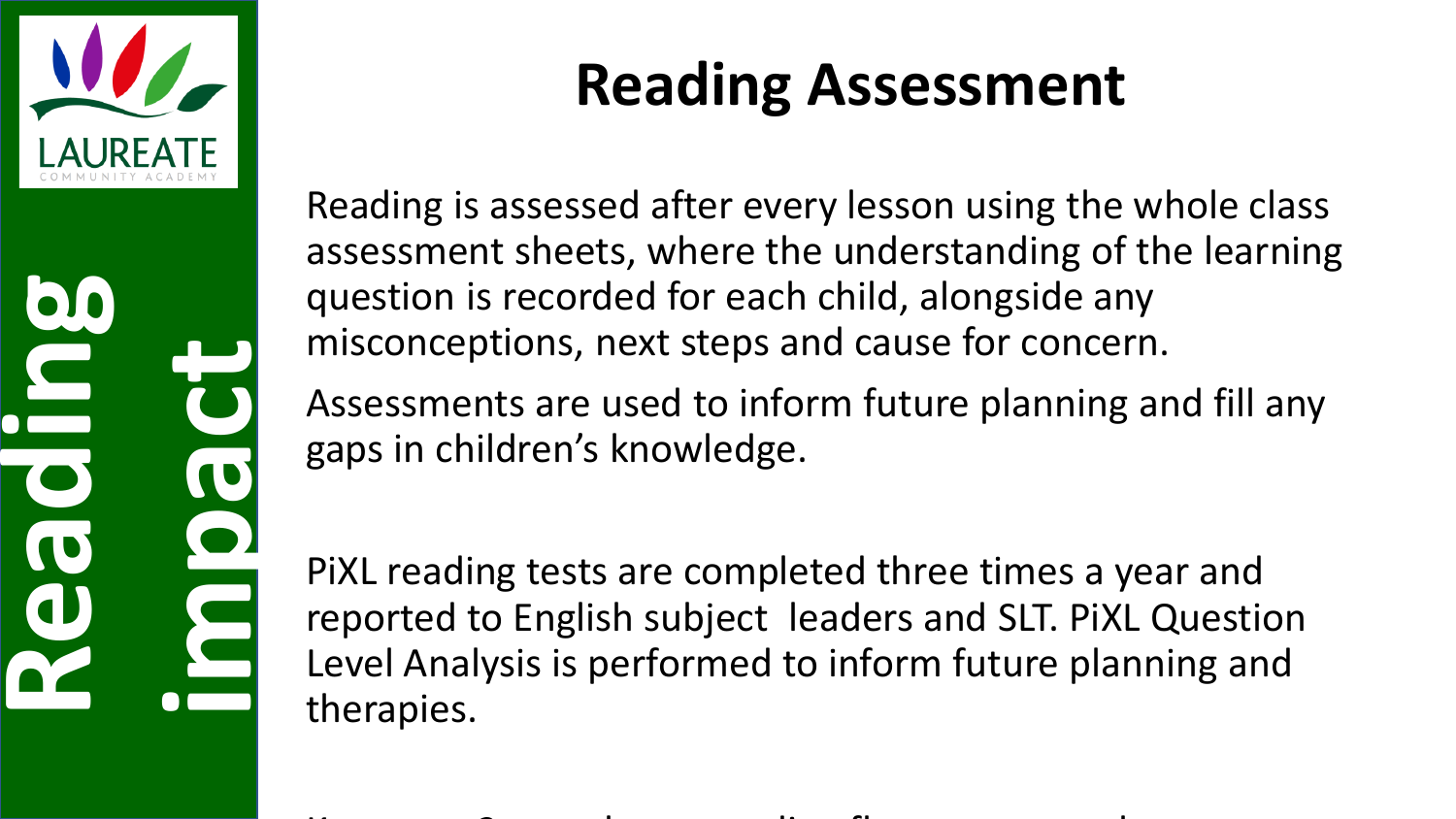

# **Reading impact**

#### **Reading Assessment**

Reading is assessed after every lesson using the whole class assessment sheets, where the understanding of the learning question is recorded for each child, alongside any misconceptions, next steps and cause for concern.

Assessments are used to inform future planning and fill any gaps in children's knowledge.

PiXL reading tests are completed three times a year and reported to English subject leaders and SLT. PiXL Question Level Analysis is performed to inform future planning and therapies.

Key stage 2 complete a reading fluency test each term.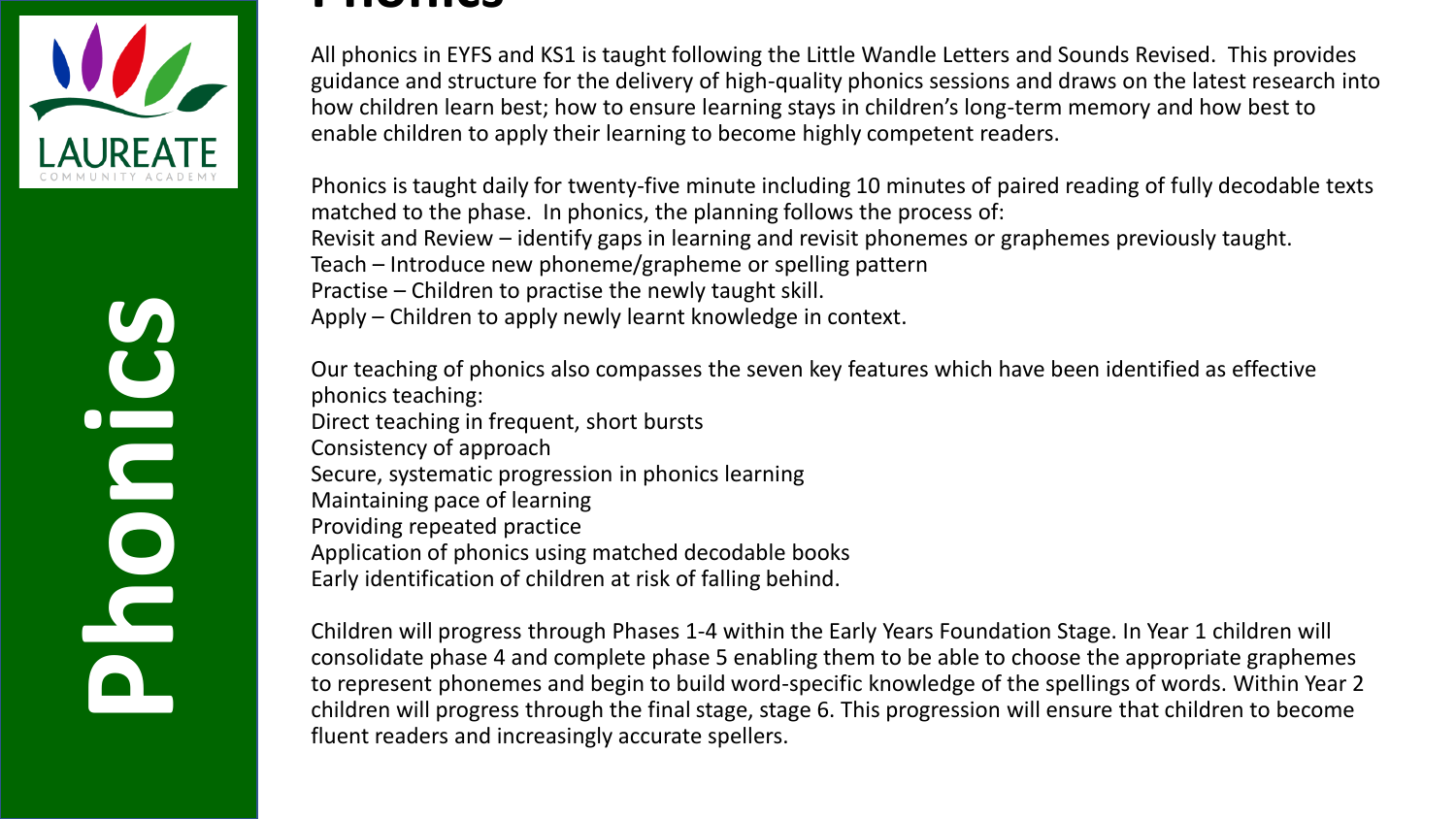

#### **Phonics**

All phonics in EYFS and KS1 is taught following the Little Wandle Letters and Sounds Revised. This provides guidance and structure for the delivery of high-quality phonics sessions and draws on the latest research into how children learn best; how to ensure learning stays in children's long-term memory and how best to enable children to apply their learning to become highly competent readers.

Phonics is taught daily for twenty-five minute including 10 minutes of paired reading of fully decodable texts matched to the phase. In phonics, the planning follows the process of: Revisit and Review – identify gaps in learning and revisit phonemes or graphemes previously taught. Teach – Introduce new phoneme/grapheme or spelling pattern Practise – Children to practise the newly taught skill. Apply – Children to apply newly learnt knowledge in context.

Our teaching of phonics also compasses the seven key features which have been identified as effective phonics teaching: Direct teaching in frequent, short bursts Consistency of approach Secure, systematic progression in phonics learning Maintaining pace of learning Providing repeated practice Application of phonics using matched decodable books Early identification of children at risk of falling behind.

Children will progress through Phases 1-4 within the Early Years Foundation Stage. In Year 1 children will consolidate phase 4 and complete phase 5 enabling them to be able to choose the appropriate graphemes to represent phonemes and begin to build word-specific knowledge of the spellings of words. Within Year 2 children will progress through the final stage, stage 6. This progression will ensure that children to become fluent readers and increasingly accurate spellers.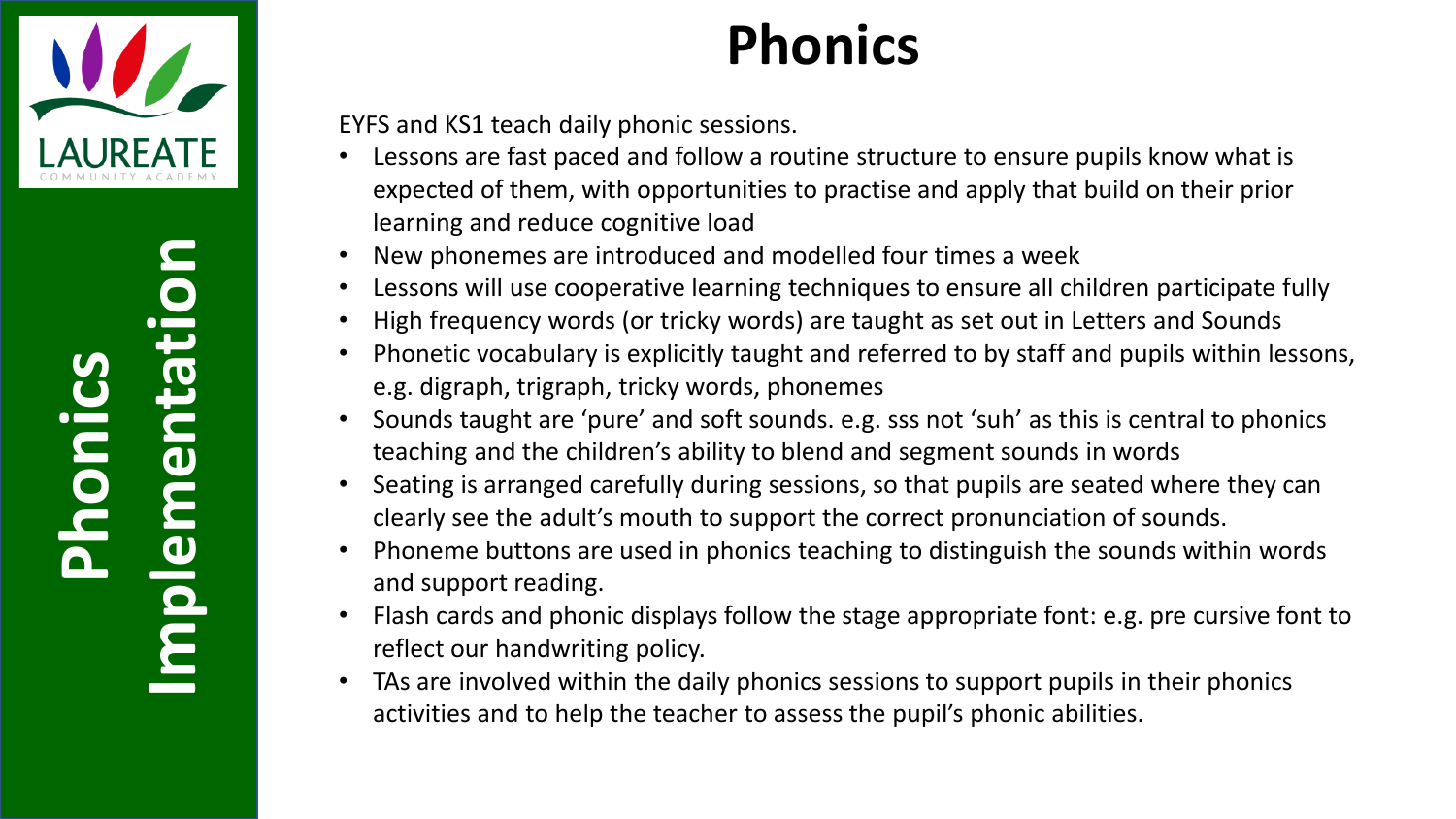

**Implementation** Implementation **Phonics**

#### **Phonics**

EYFS and KS1 teach daily phonic sessions.

- Lessons are fast paced and follow a routine structure to ensure pupils know what is expected of them, with opportunities to practise and apply that build on their prior learning and reduce cognitive load
- New phonemes are introduced and modelled four times a week
- Lessons will use cooperative learning techniques to ensure all children participate fully
- High frequency words (or tricky words) are taught as set out in Letters and Sounds
- Phonetic vocabulary is explicitly taught and referred to by staff and pupils within lessons, e.g. digraph, trigraph, tricky words, phonemes
- Sounds taught are 'pure' and soft sounds. e.g. sss not 'suh' as this is central to phonics teaching and the children's ability to blend and segment sounds in words
- Seating is arranged carefully during sessions, so that pupils are seated where they can clearly see the adult's mouth to support the correct pronunciation of sounds.
- Phoneme buttons are used in phonics teaching to distinguish the sounds within words and support reading.
- Flash cards and phonic displays follow the stage appropriate font: e.g. pre cursive font to reflect our handwriting policy.
- TAs are involved within the daily phonics sessions to support pupils in their phonics activities and to help the teacher to assess the pupil's phonic abilities.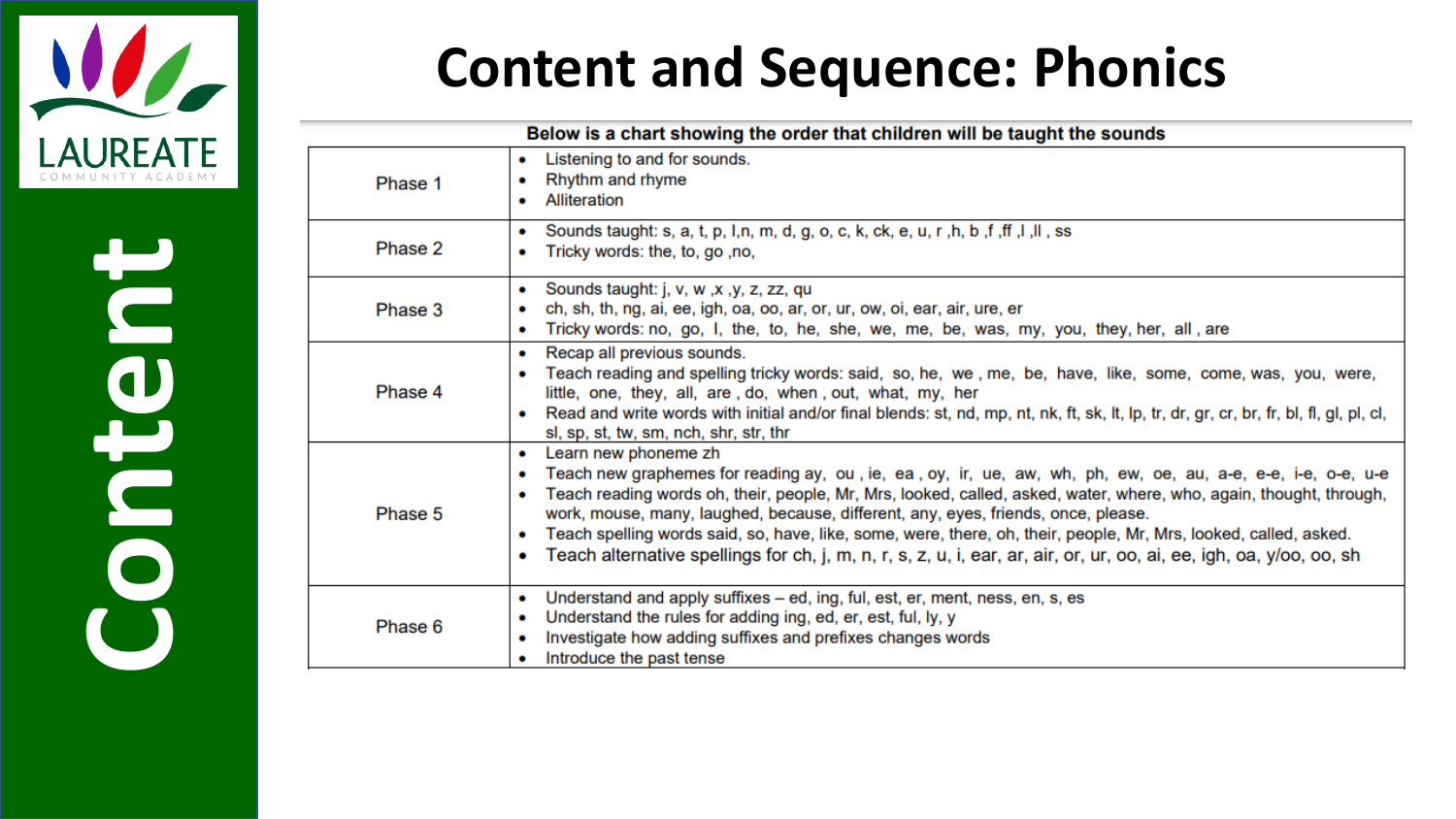

# **Content**

#### **Content and Sequence: Phonics**

| Below is a chart showing the order that children will be taught the sounds |                                                                                                                                                                                                                                                                                                                                                                                                                                                                                                                                                                                                                       |  |  |  |  |  |
|----------------------------------------------------------------------------|-----------------------------------------------------------------------------------------------------------------------------------------------------------------------------------------------------------------------------------------------------------------------------------------------------------------------------------------------------------------------------------------------------------------------------------------------------------------------------------------------------------------------------------------------------------------------------------------------------------------------|--|--|--|--|--|
| Phase 1                                                                    | Listening to and for sounds.<br>۰<br>Rhythm and rhyme<br>Alliteration                                                                                                                                                                                                                                                                                                                                                                                                                                                                                                                                                 |  |  |  |  |  |
| Phase 2                                                                    | Sounds taught: s, a, t, p, l,n, m, d, g, o, c, k, ck, e, u, r, h, b, f, ff, l, ll, ss<br>$\bullet$<br>Tricky words: the, to, go, no,<br>۰                                                                                                                                                                                                                                                                                                                                                                                                                                                                             |  |  |  |  |  |
| Phase 3                                                                    | Sounds taught: j, v, w, x, y, z, zz, qu<br>$\bullet$<br>ch, sh, th, ng, ai, ee, igh, oa, oo, ar, or, ur, ow, oi, ear, air, ure, er<br>Tricky words: no, go, I, the, to, he, she, we, me, be, was, my, you, they, her, all, are<br>۰                                                                                                                                                                                                                                                                                                                                                                                   |  |  |  |  |  |
| Phase 4                                                                    | Recap all previous sounds.<br>۰<br>Teach reading and spelling tricky words: said, so, he, we, me, be, have, like, some, come, was, you, were,<br>little, one, they, all, are, do, when, out, what, my, her<br>Read and write words with initial and/or final blends: st, nd, mp, nt, nk, ft, sk, lt, lp, tr, dr, gr, cr, br, fr, bl, fl, gl, pl, cl,<br>sl, sp, st, tw, sm, nch, shr, str, thr                                                                                                                                                                                                                        |  |  |  |  |  |
| Phase 5                                                                    | Learn new phoneme zh<br>۰<br>Teach new graphemes for reading ay, ou, ie, ea, oy, ir, ue, aw, wh, ph, ew, oe, au, a-e, e-e, i-e, o-e, u-e<br>۰<br>Teach reading words oh, their, people, Mr, Mrs, looked, called, asked, water, where, who, again, thought, through,<br>work, mouse, many, laughed, because, different, any, eyes, friends, once, please.<br>Teach spelling words said, so, have, like, some, were, there, oh, their, people, Mr, Mrs, looked, called, asked.<br>٠<br>Teach alternative spellings for ch, j, m, n, r, s, z, u, i, ear, ar, air, or, ur, oo, ai, ee, igh, oa, y/oo, oo, sh<br>$\bullet$ |  |  |  |  |  |
| Phase 6                                                                    | Understand and apply suffixes – ed, ing, ful, est, er, ment, ness, en, s, es<br>۰<br>Understand the rules for adding ing, ed, er, est, ful, ly, y<br>۰<br>Investigate how adding suffixes and prefixes changes words<br>٠<br>Introduce the past tense                                                                                                                                                                                                                                                                                                                                                                 |  |  |  |  |  |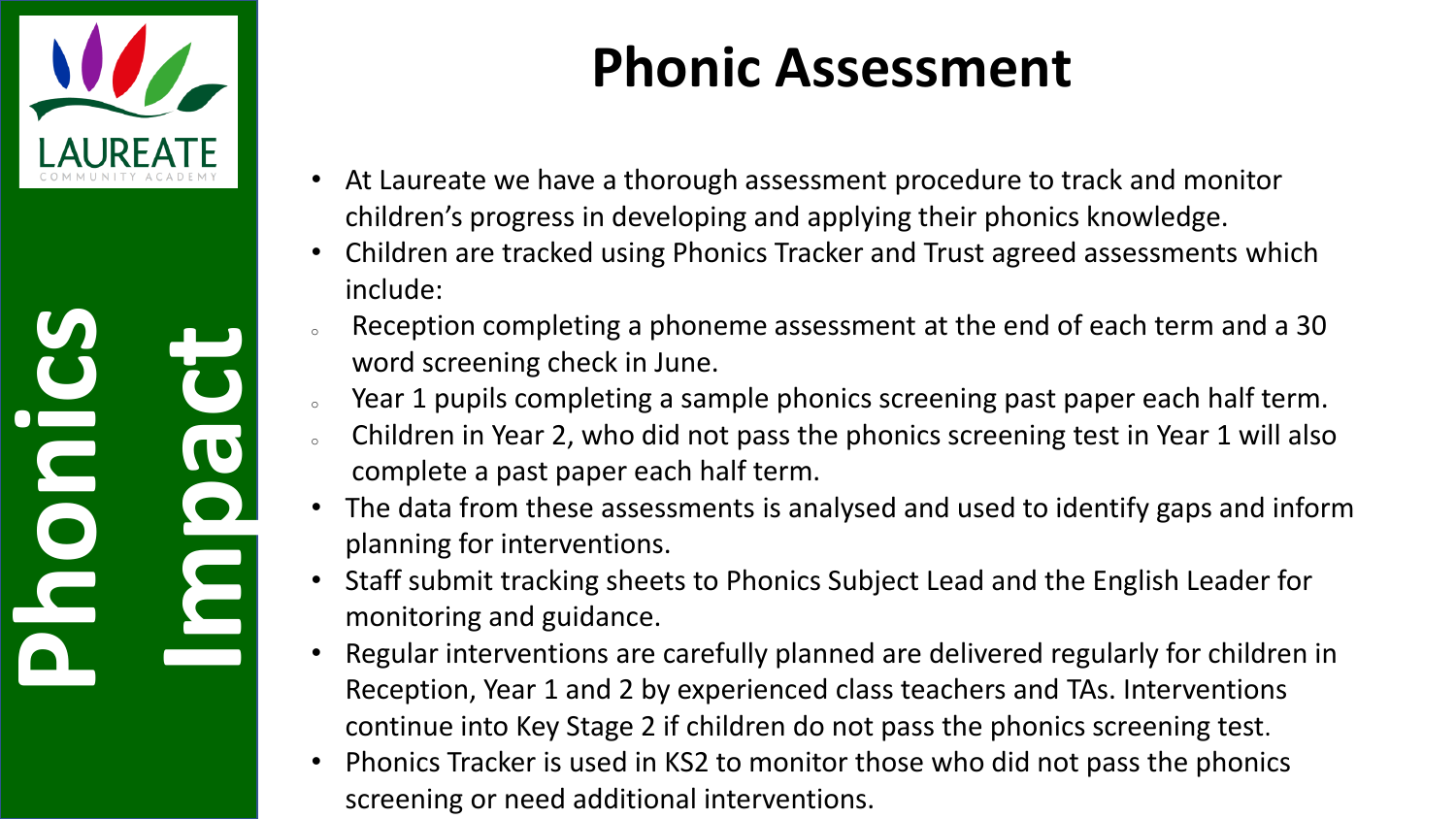

**Phonics Impact**

#### **Phonic Assessment**

- At Laureate we have a thorough assessment procedure to track and monitor children's progress in developing and applying their phonics knowledge.
- Children are tracked using Phonics Tracker and Trust agreed assessments which include:
- Reception completing a phoneme assessment at the end of each term and a 30 word screening check in June.
- Year 1 pupils completing a sample phonics screening past paper each half term.
- <sup>o</sup> Children in Year 2, who did not pass the phonics screening test in Year 1 will also complete a past paper each half term.
- The data from these assessments is analysed and used to identify gaps and inform planning for interventions.
- Staff submit tracking sheets to Phonics Subject Lead and the English Leader for monitoring and guidance.
- Regular interventions are carefully planned are delivered regularly for children in Reception, Year 1 and 2 by experienced class teachers and TAs. Interventions continue into Key Stage 2 if children do not pass the phonics screening test.
- Phonics Tracker is used in KS2 to monitor those who did not pass the phonics screening or need additional interventions.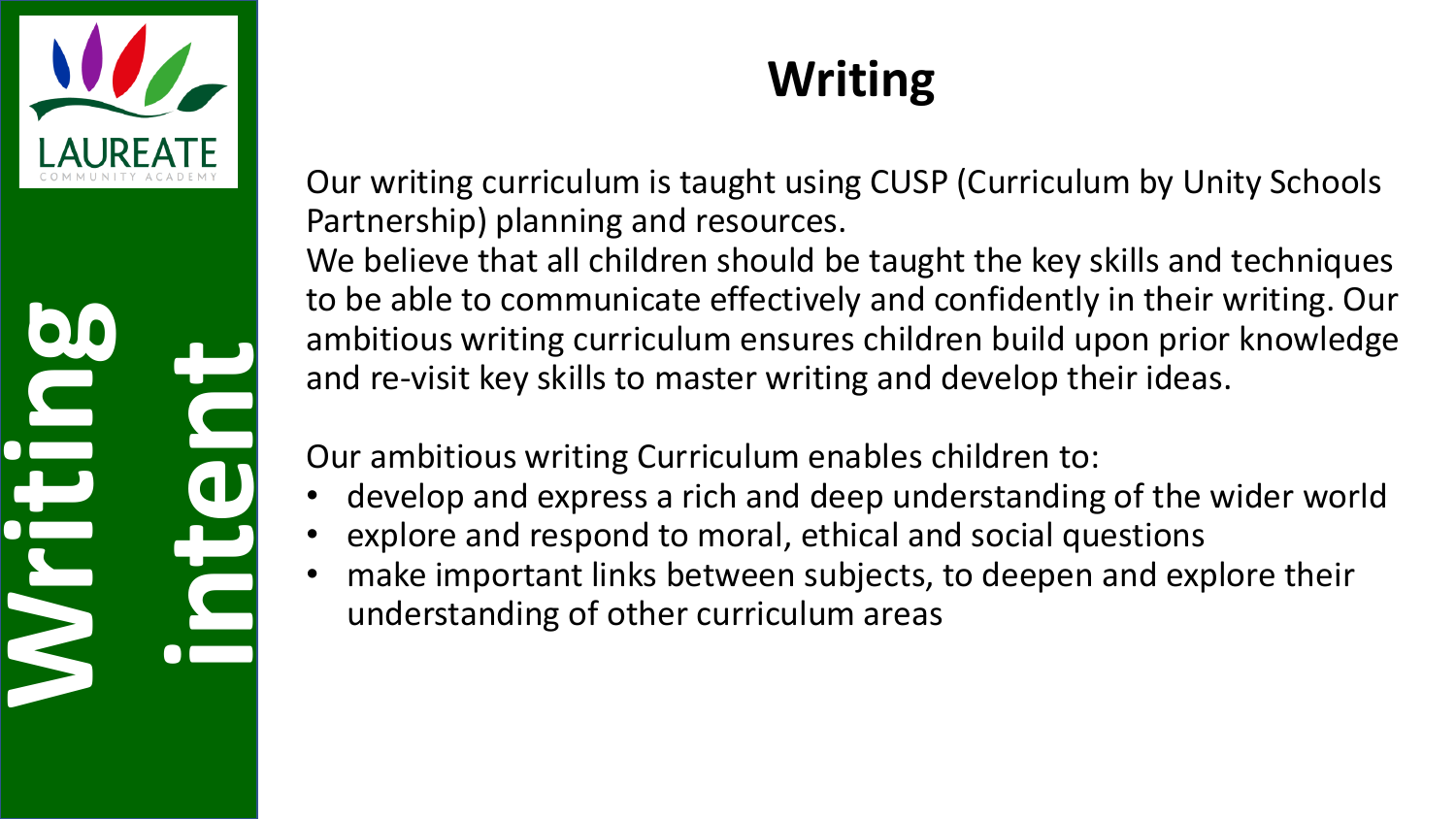

# **Writing intent**

#### **Writing**

Our writing curriculum is taught using CUSP (Curriculum by Unity Schools Partnership) planning and resources.

We believe that all children should be taught the key skills and techniques to be able to communicate effectively and confidently in their writing. Our ambitious writing curriculum ensures children build upon prior knowledge and re-visit key skills to master writing and develop their ideas.

Our ambitious writing Curriculum enables children to:

- develop and express a rich and deep understanding of the wider world
- explore and respond to moral, ethical and social questions
- make important links between subjects, to deepen and explore their understanding of other curriculum areas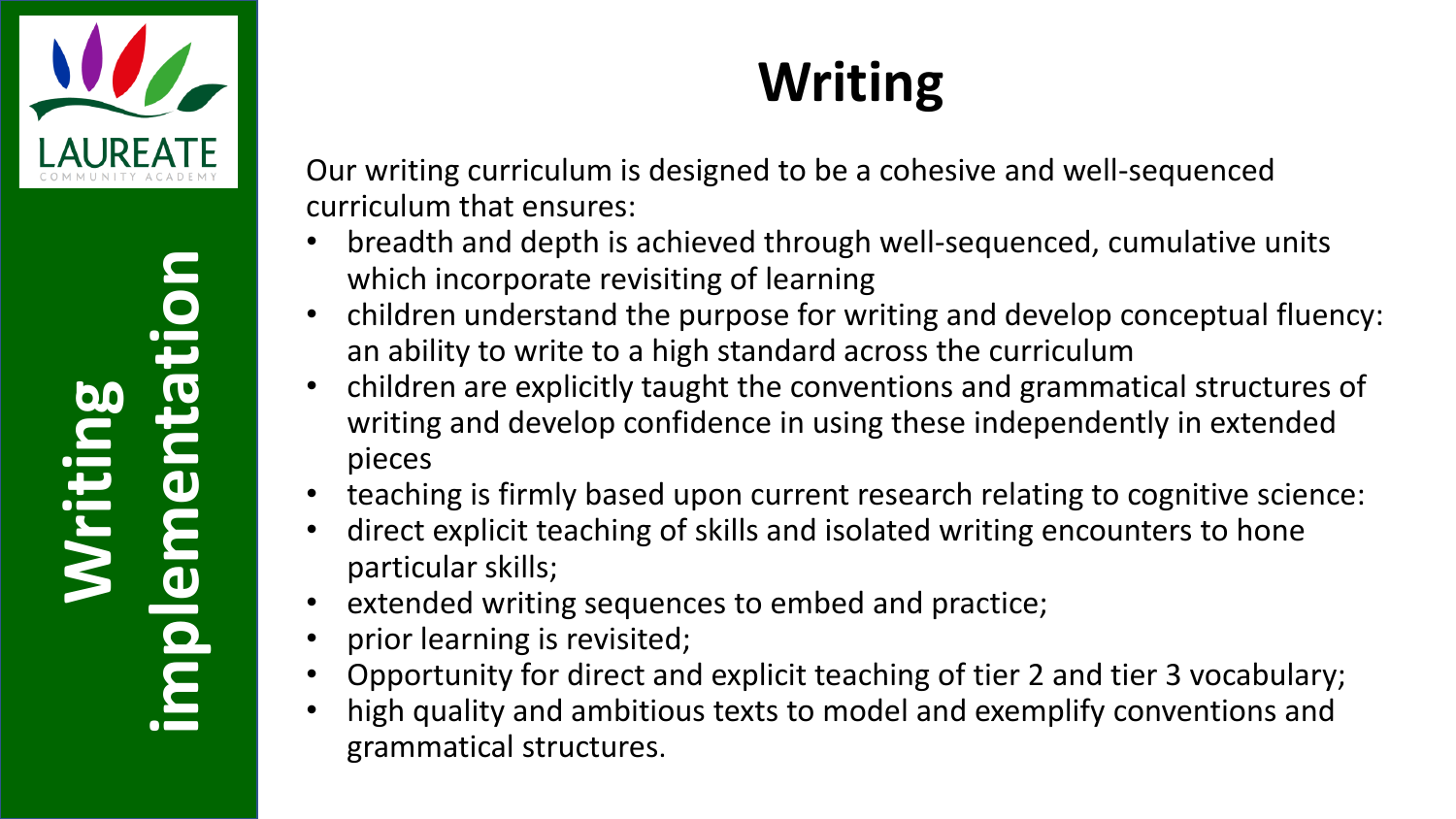

# **Writing implementation**

#### **Writing**

Our writing curriculum is designed to be a cohesive and well-sequenced curriculum that ensures:

- breadth and depth is achieved through well-sequenced, cumulative units which incorporate revisiting of learning
- children understand the purpose for writing and develop conceptual fluency: an ability to write to a high standard across the curriculum
- children are explicitly taught the conventions and grammatical structures of writing and develop confidence in using these independently in extended pieces
- teaching is firmly based upon current research relating to cognitive science:
- direct explicit teaching of skills and isolated writing encounters to hone particular skills;
- extended writing sequences to embed and practice;
- prior learning is revisited;
- Opportunity for direct and explicit teaching of tier 2 and tier 3 vocabulary;
- high quality and ambitious texts to model and exemplify conventions and grammatical structures.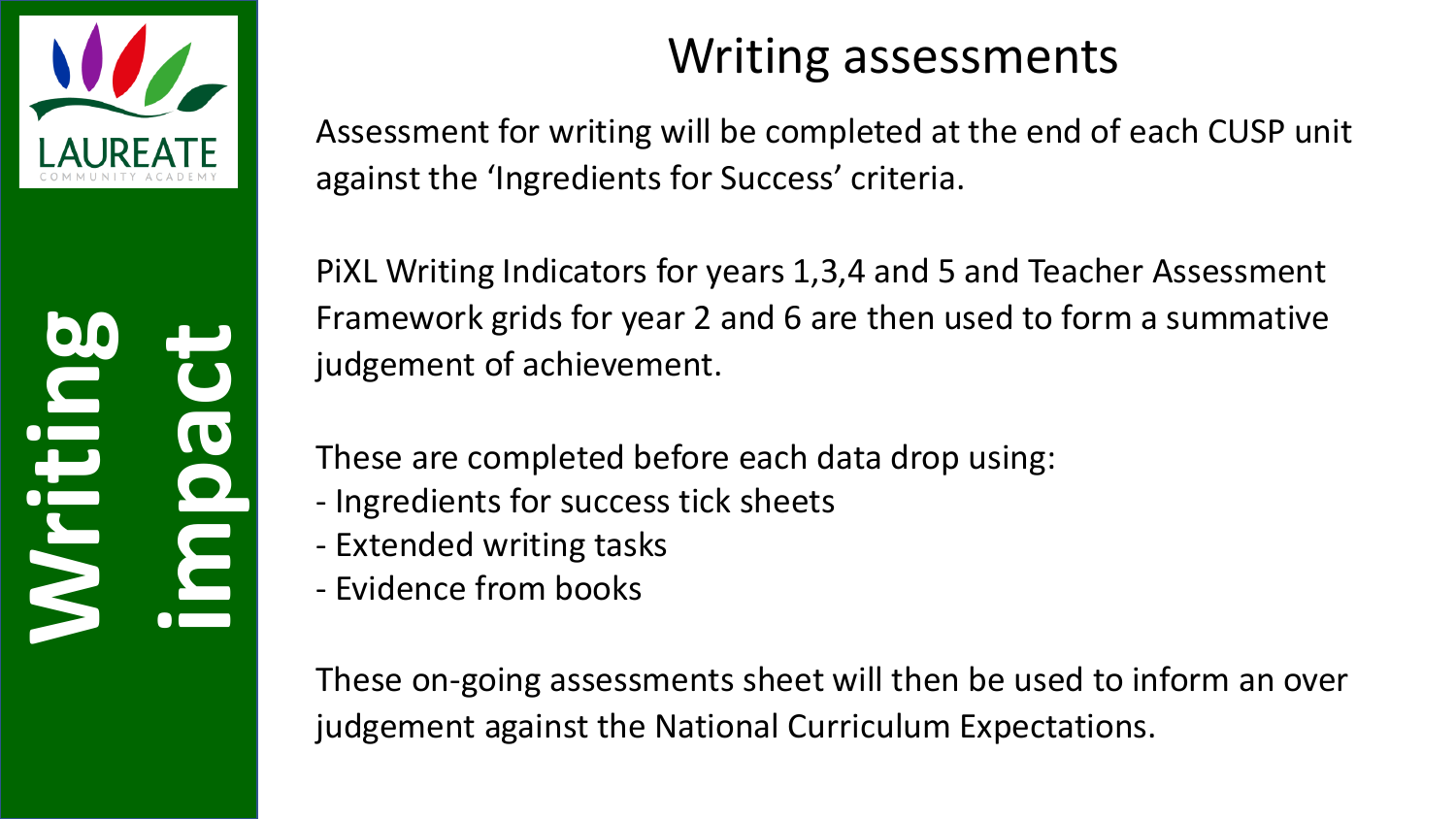

**Writing impact**

#### Writing assessments

Assessment for writing will be completed at the end of each CUSP unit against the 'Ingredients for Success' criteria.

PiXL Writing Indicators for years 1,3,4 and 5 and Teacher Assessment Framework grids for year 2 and 6 are then used to form a summative judgement of achievement.

These are completed before each data drop using:

- Ingredients for success tick sheets
- Extended writing tasks
- Evidence from books

These on-going assessments sheet will then be used to inform an over judgement against the National Curriculum Expectations.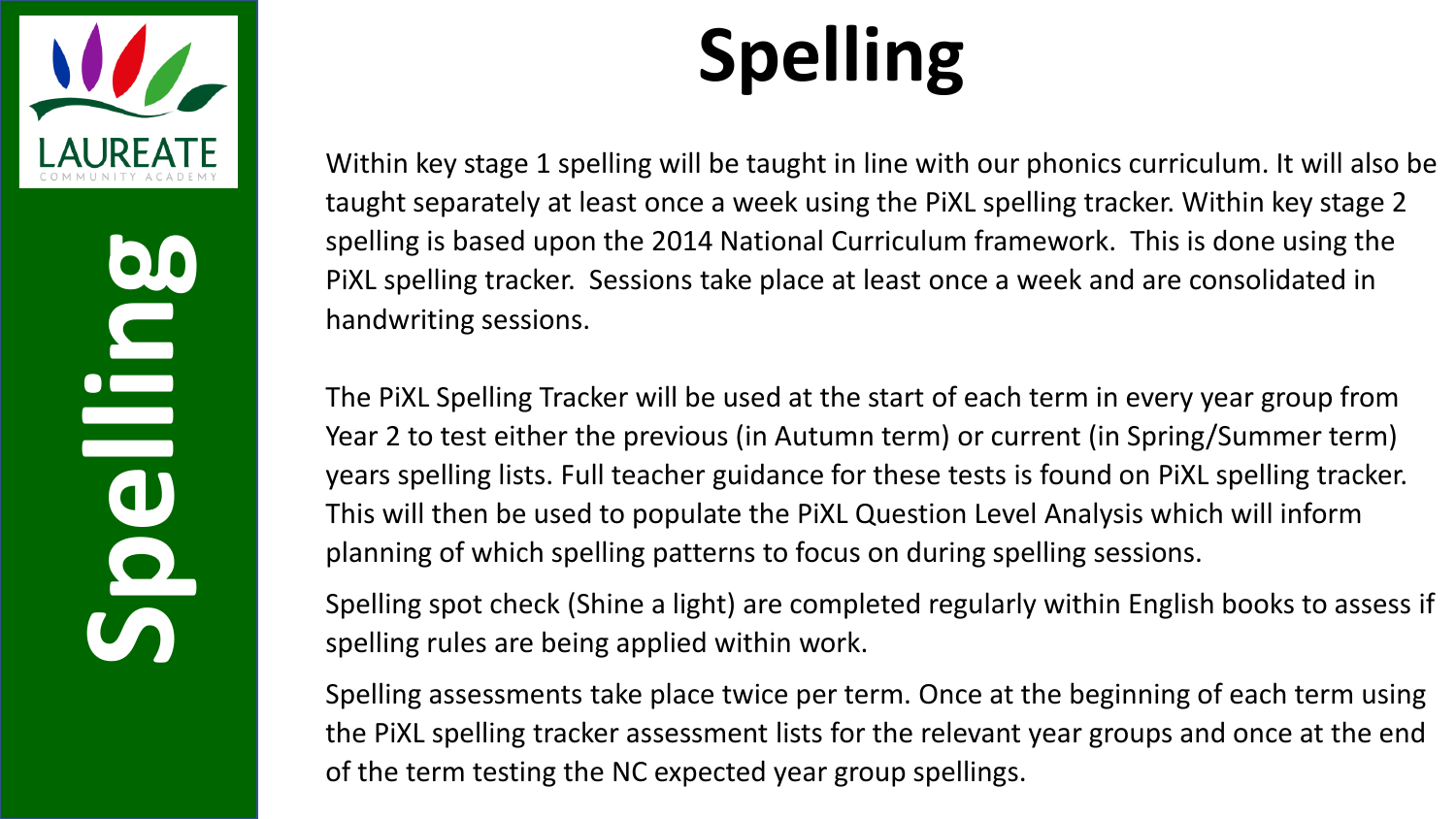

**Spelling** 

## **Spelling**

Within key stage 1 spelling will be taught in line with our phonics curriculum. It will also be taught separately at least once a week using the PiXL spelling tracker. Within key stage 2 spelling is based upon the 2014 National Curriculum framework. This is done using the PiXL spelling tracker. Sessions take place at least once a week and are consolidated in handwriting sessions.

The PiXL Spelling Tracker will be used at the start of each term in every year group from Year 2 to test either the previous (in Autumn term) or current (in Spring/Summer term) years spelling lists. Full teacher guidance for these tests is found on PiXL spelling tracker. This will then be used to populate the PiXL Question Level Analysis which will inform planning of which spelling patterns to focus on during spelling sessions.

Spelling spot check (Shine a light) are completed regularly within English books to assess if spelling rules are being applied within work.

Spelling assessments take place twice per term. Once at the beginning of each term using the PiXL spelling tracker assessment lists for the relevant year groups and once at the end of the term testing the NC expected year group spellings.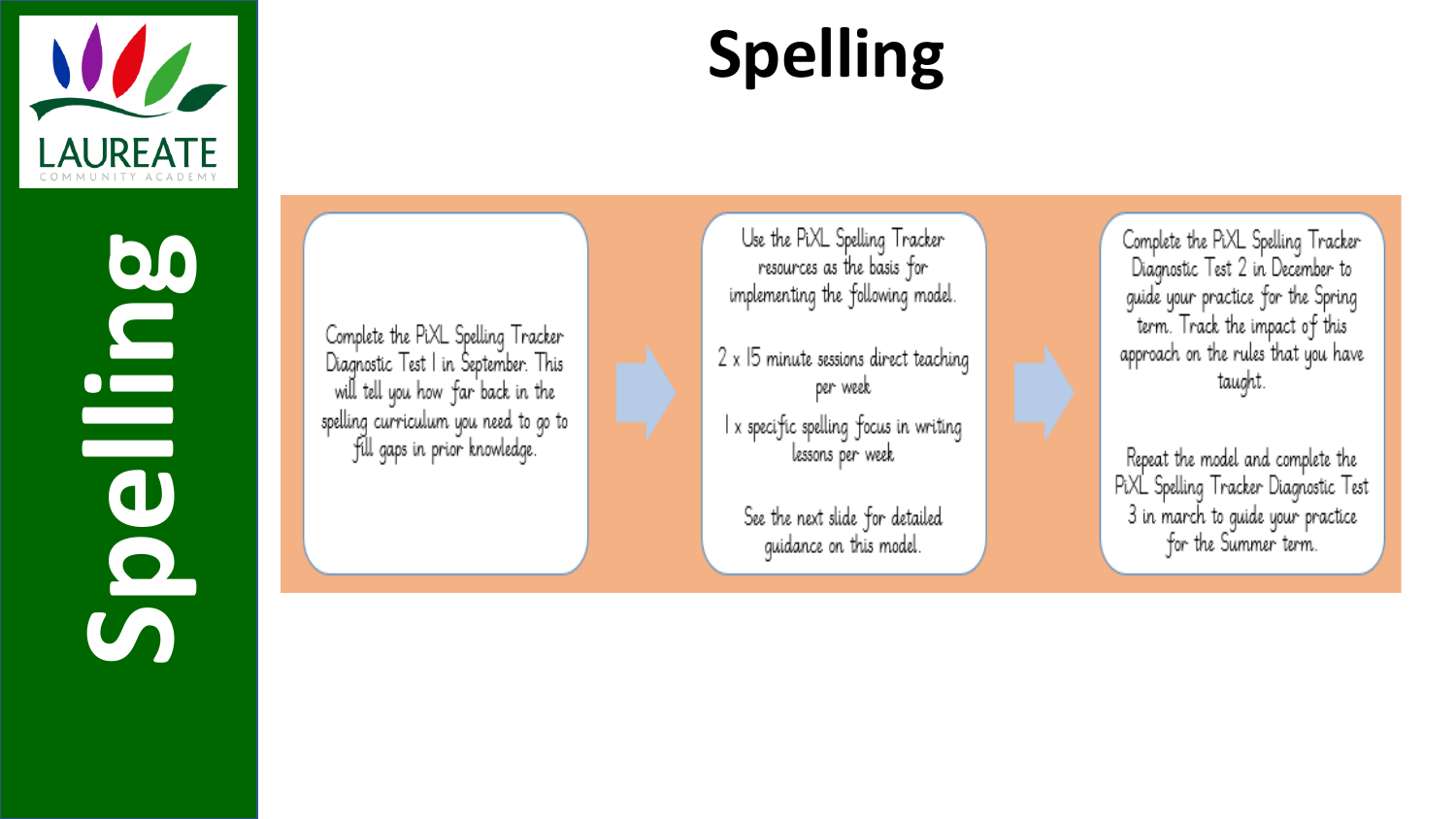

**Spelling** 

#### **Spelling**

Complete the PiXL Spelling Tracker Diagnostic Test I in September. This will tell you how far back in the spelling curriculum you need to go to fill gaps in prior knowledge.

Use the PiXL Spelling Tracker resources as the basis for implementing the following model.

2 x 15 minute sessions direct teaching per week

I x specific spelling focus in writing lessons per week

See the next slide for detailed guidance on this model.

Complete the PiXL Spelling Tracker Diagnostic Test 2 in December to guide your practice for the Spring term. Track the impact of this approach on the rules that you have taught.

Repeat the model and complete the PiXL Spelling Tracker Diagnostic Test 3 in march to guide your practice for the Summer term.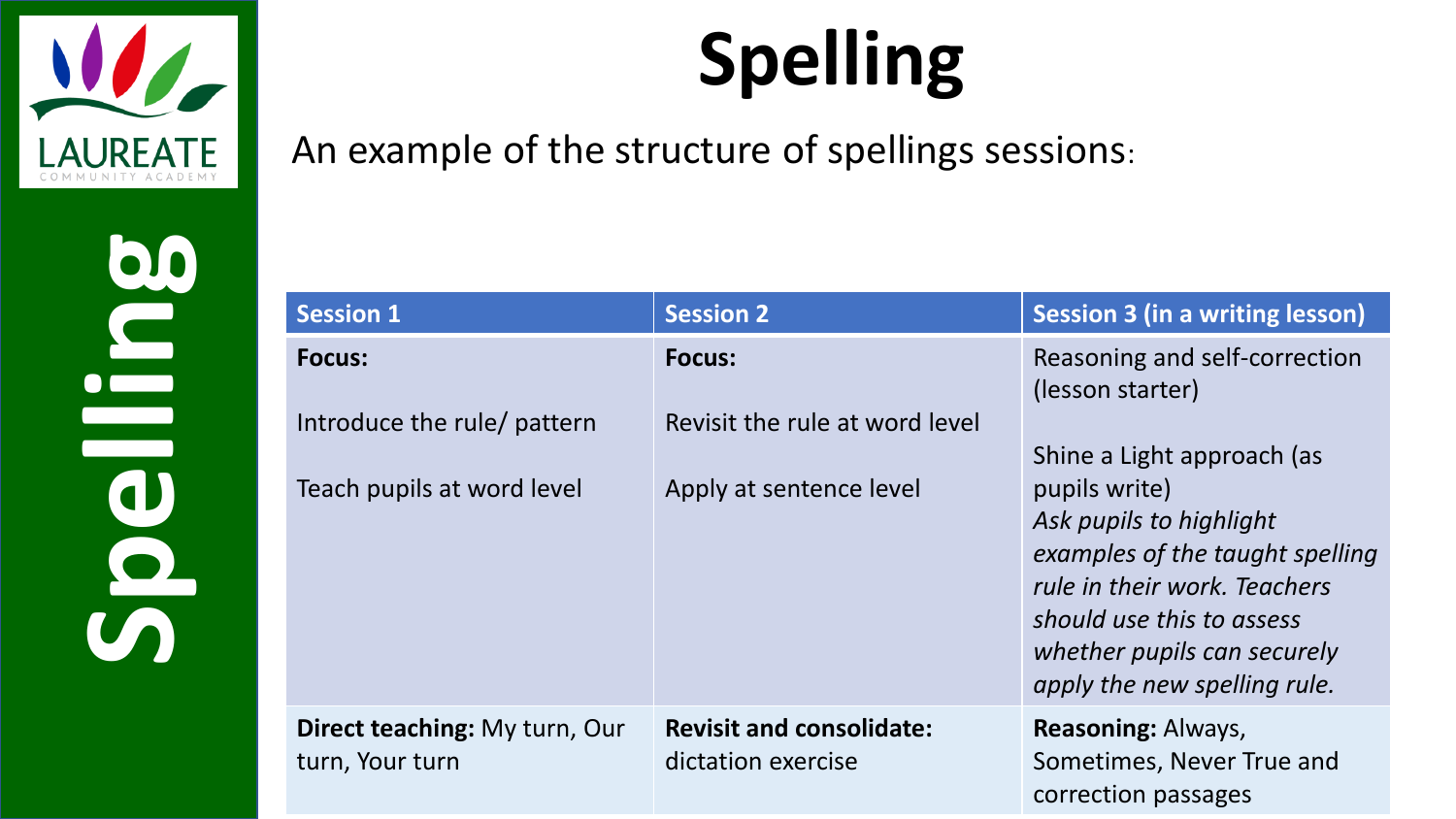

**Spelling**

## **Spelling**

#### An example of the structure of spellings sessions:

| <b>Session 1</b>                                                           | <b>Session 2</b>                                                           | Session 3 (in a writing lesson)                                                                                                                                                                                                                                                            |
|----------------------------------------------------------------------------|----------------------------------------------------------------------------|--------------------------------------------------------------------------------------------------------------------------------------------------------------------------------------------------------------------------------------------------------------------------------------------|
| <b>Focus:</b><br>Introduce the rule/ pattern<br>Teach pupils at word level | <b>Focus:</b><br>Revisit the rule at word level<br>Apply at sentence level | Reasoning and self-correction<br>(lesson starter)<br>Shine a Light approach (as<br>pupils write)<br>Ask pupils to highlight<br>examples of the taught spelling<br>rule in their work. Teachers<br>should use this to assess<br>whether pupils can securely<br>apply the new spelling rule. |
| <b>Direct teaching: My turn, Our</b><br>turn, Your turn                    | <b>Revisit and consolidate:</b><br>dictation exercise                      | <b>Reasoning: Always,</b><br>Sometimes, Never True and<br>correction passages                                                                                                                                                                                                              |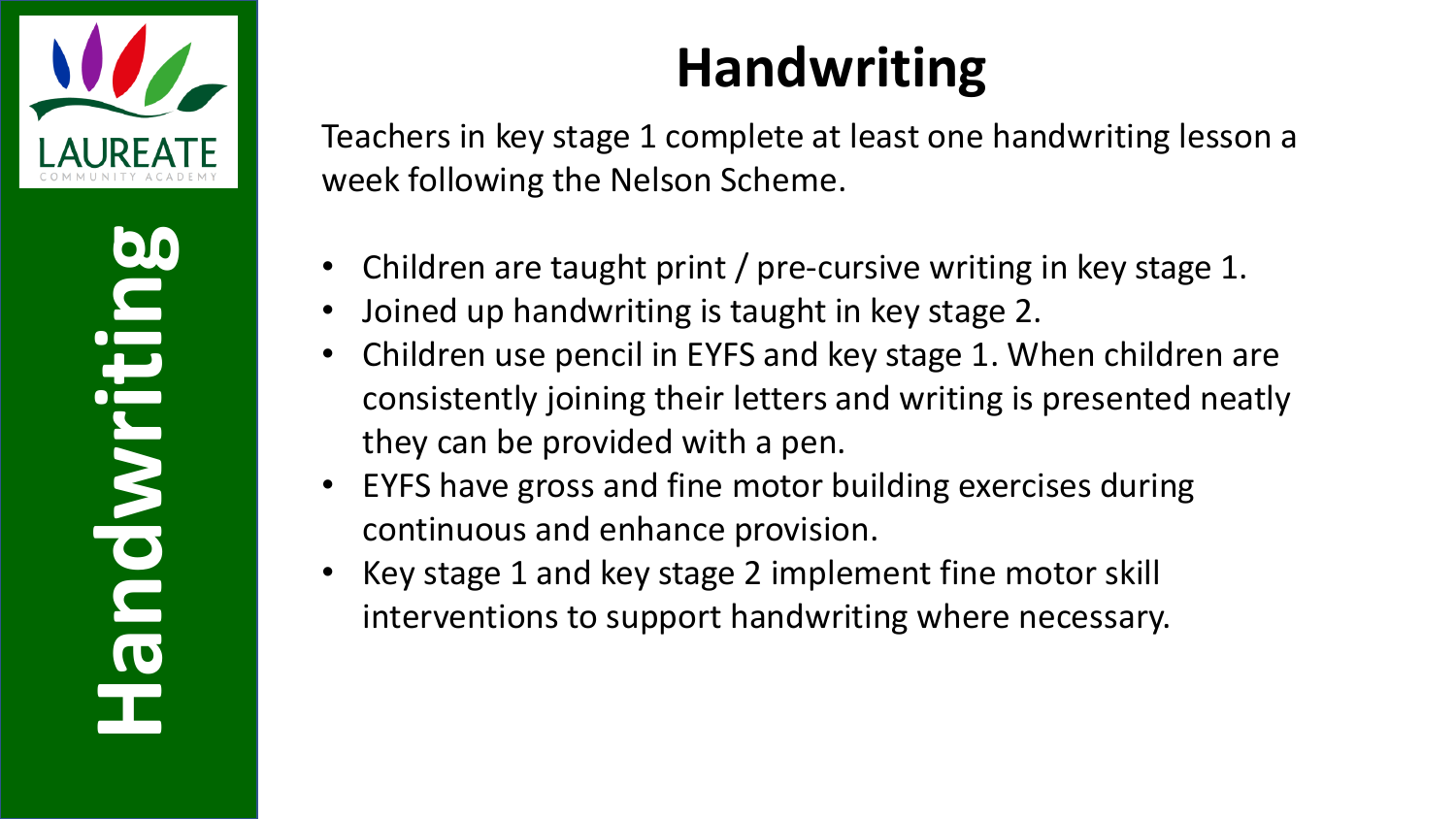

**Handwriting**

#### **Handwriting**

Teachers in key stage 1 complete at least one handwriting lesson a week following the Nelson Scheme.

- Children are taught print / pre-cursive writing in key stage 1.
- Joined up handwriting is taught in key stage 2.
- Children use pencil in EYFS and key stage 1. When children are consistently joining their letters and writing is presented neatly they can be provided with a pen.
- EYFS have gross and fine motor building exercises during continuous and enhance provision.
- Key stage 1 and key stage 2 implement fine motor skill interventions to support handwriting where necessary.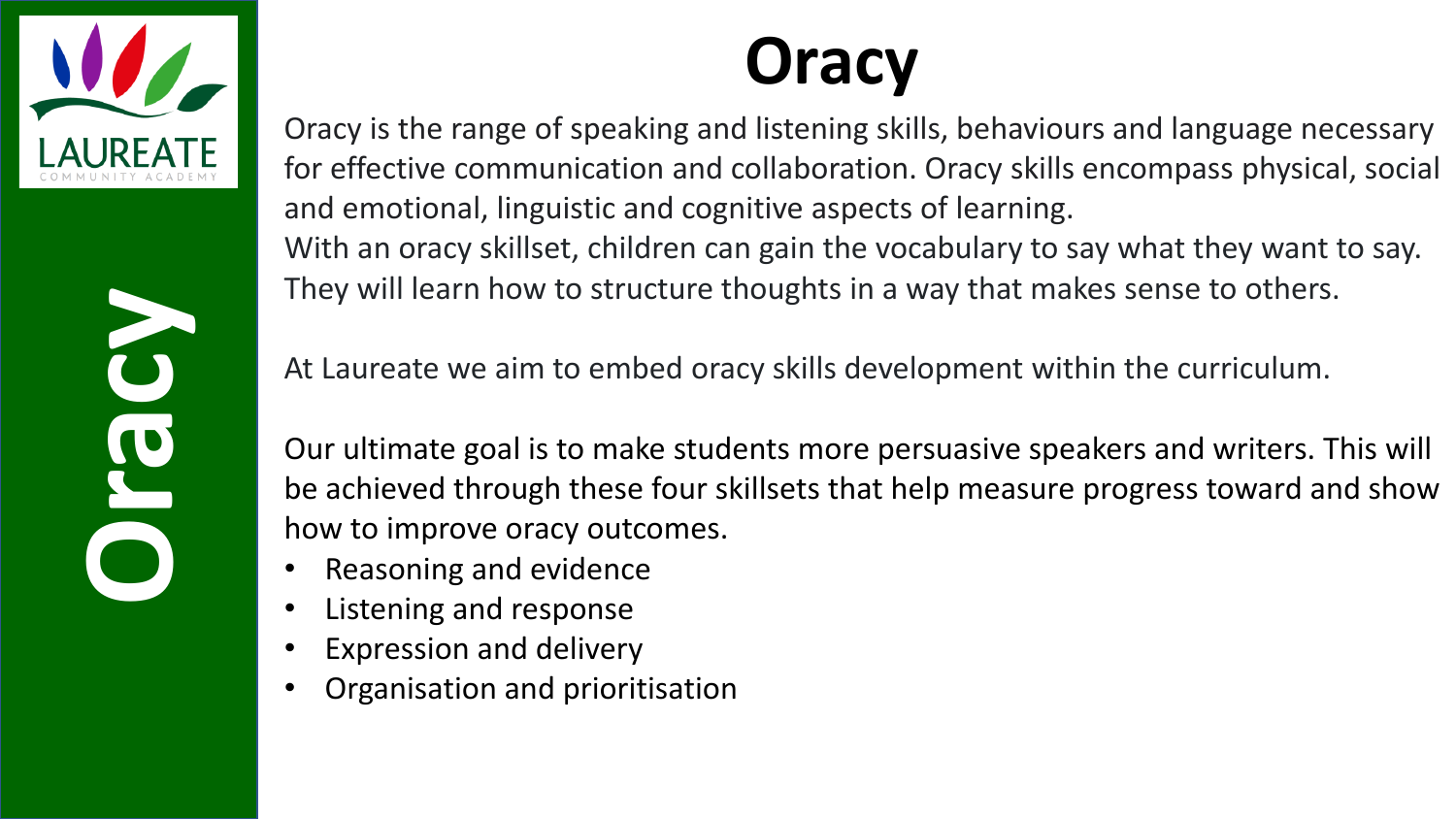

**Oracy**

### **Oracy**

Oracy is the range of speaking and listening skills, behaviours and language necessary for effective communication and collaboration. Oracy skills encompass physical, social and emotional, linguistic and cognitive aspects of learning. With an oracy skillset, children can gain the vocabulary to say what they want to say. They will learn how to structure thoughts in a way that makes sense to others.

At Laureate we aim to embed oracy skills development within the curriculum.

Our ultimate goal is to make students more persuasive speakers and writers. This will be achieved through these four skillsets that help measure progress toward and show how to improve oracy outcomes.

- Reasoning and evidence
- Listening and response
- Expression and delivery
- Organisation and prioritisation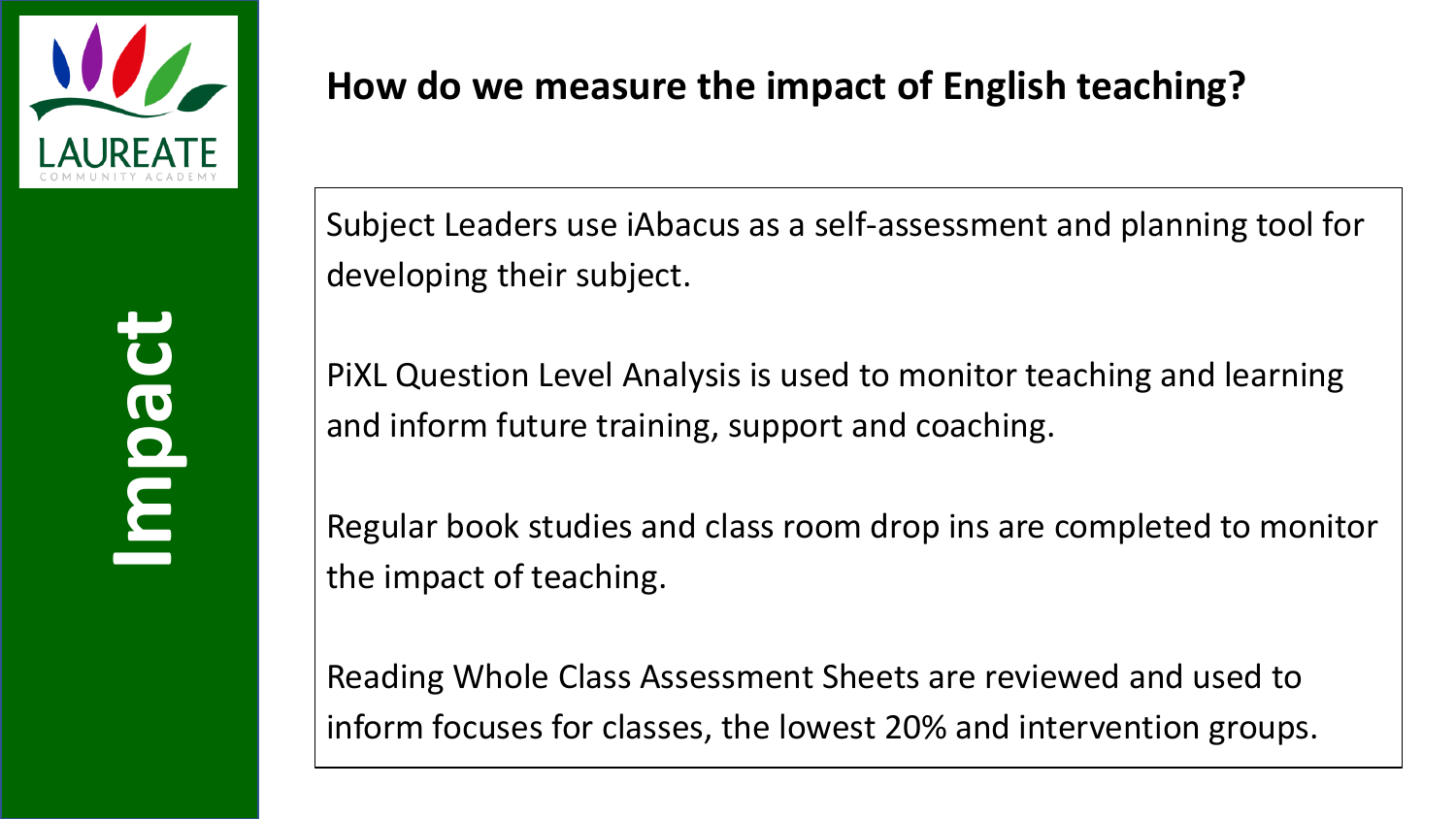

#### **How do we measure the impact of English teaching?**

Subject Leaders use iAbacus as a self-assessment and planning tool for developing their subject.

PiXL Question Level Analysis is used to monitor teaching and learning and inform future training, support and coaching.

Regular book studies and class room drop ins are completed to monitor the impact of teaching.

Reading Whole Class Assessment Sheets are reviewed and used to inform focuses for classes, the lowest 20% and intervention groups.